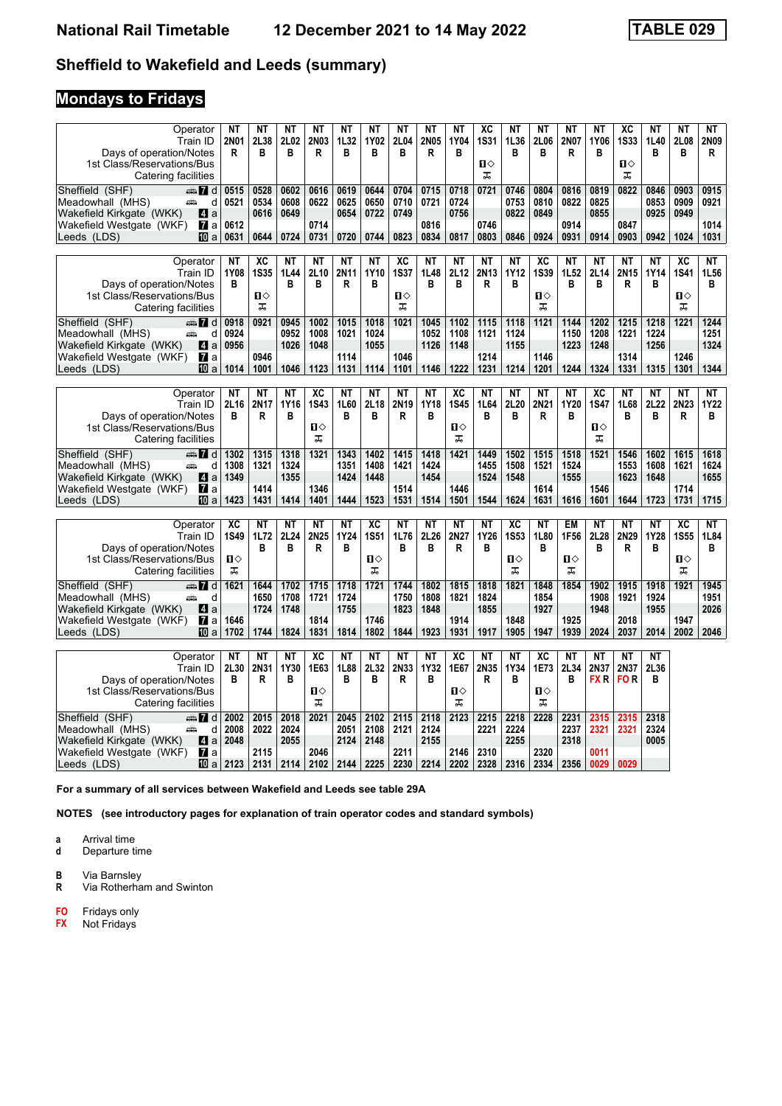#### **Sheffield to Wakefield and Leeds (summary)**

# **Mondays to Fridays**

| 2N01<br>2N03<br>1L32<br>2L04<br>1Y04<br><b>1S31</b><br>1L36<br>2L06<br>2N07<br>1Y06<br><b>1S33</b><br>1L40<br>2L08<br>Train ID<br>2L38<br>2L02<br>1Y02<br>2N05<br>R<br>в<br>в<br>R<br>в<br>в<br>в<br>R<br>в<br>В<br>в<br>R<br>в<br>в<br>в<br>Days of operation/Notes<br>$\mathbf{u}$<br>$\mathbf{u}$<br>1st Class/Reservations/Bus<br>ᠼ<br>ᠼ<br>Catering facilities                                                                                                                                                                                                        | 2N09<br>R            |
|----------------------------------------------------------------------------------------------------------------------------------------------------------------------------------------------------------------------------------------------------------------------------------------------------------------------------------------------------------------------------------------------------------------------------------------------------------------------------------------------------------------------------------------------------------------------------|----------------------|
| 0515<br>0528<br>0602<br>0616<br>0619<br>0644<br>0704<br>0715<br>0718<br>0721<br>0746<br>0804<br>0816<br>0819<br>0822<br>0846<br>0903<br>Sheffield (SHF)<br>d≣ <mark>7</mark> id<br>0521<br>0534<br>0608<br>0622<br>0625<br>0650<br>0710<br>0753<br>0810<br>0822<br>0825<br>0853<br>0909<br>Meadowhall (MHS)<br>يتثيه<br>d<br>0721<br>0724<br>0649<br>0722<br>0749<br>0855<br>0925<br>0949<br>Wakefield Kirkgate (WKK)<br>0616<br>0654<br>0756<br>0822<br>0849<br><b>ZI</b> a<br>$\mathbf{z}$ a<br>0612<br>0714<br>0816<br>0746<br>0914<br>0847<br>Wakefield Westgate (WKF) | 0915<br>0921<br>1014 |
| 0744<br>0823<br>0931<br>0942<br>1024<br>0631<br>0644<br>0724<br>0731<br>0720<br>0834<br>0817<br>0803<br>0846<br>0924<br>0914<br>0903<br>Leeds (LDS)<br>100 a                                                                                                                                                                                                                                                                                                                                                                                                               | 1031                 |
| XC<br><b>NT</b><br><b>NT</b><br><b>NT</b><br><b>NT</b><br>XC<br><b>NT</b><br><b>NT</b><br>XC<br><b>NT</b><br><b>NT</b><br><b>NT</b><br>XC<br>Operator<br>NΤ<br>ΝT<br>NΤ<br>ΝT<br><b>1S35</b><br>2N11<br><b>1S37</b><br><b>1S39</b><br>2L14<br>2N15<br>Train ID<br>1Y08<br>1L44<br>2L10<br>1Y10<br>1L48<br>2L12<br>2N13<br>1Y12<br>1L <sub>52</sub><br>1Y14<br><b>1S41</b><br>B<br>B<br>B<br>B<br>B<br>Days of operation/Notes<br>в<br>в<br>R<br>в<br>в<br>R<br>В<br>R                                                                                                      | NΤ<br>1L56<br>в      |
| $\mathbf{u}$<br>$\mathbf{u}$<br>$\mathbf{u}$<br>Ⅱ◇<br>1st Class/Reservations/Bus<br>ᠼ<br>ᠼ<br>ᠼ<br>ᠼ<br>Catering facilities                                                                                                                                                                                                                                                                                                                                                                                                                                                |                      |
| 1015<br>1021<br>1121<br>1221<br>Sheffield (SHF)<br>0921<br>0945<br>1002<br>1018<br>1045<br>1102<br>1118<br>1144<br>1202<br>1215<br>1218<br>$\oplus \blacksquare$ d<br>0918<br>1115                                                                                                                                                                                                                                                                                                                                                                                         | 1244                 |
| 0952<br>Meadowhall (MHS)<br>پیش<br>d<br>0924<br>1008<br>1021<br>1024<br>1052<br>1108<br>1121<br>1124<br>1150<br>1208<br>1221<br>1224<br>0956<br>1026<br>1048<br>1055<br>1126<br>1148<br>1155<br>1223<br>1248<br>1256                                                                                                                                                                                                                                                                                                                                                       | 1251<br>1324         |
| Wakefield Kirkgate (WKK)<br>L4 a<br>0946<br>1214<br>1246<br>1114<br>1046<br>1146<br>1314<br>Wakefield Westgate (WKF)<br><b>7</b> a                                                                                                                                                                                                                                                                                                                                                                                                                                         |                      |
| 1014<br>1001<br>1046<br>1123<br>1131<br>1114<br>1101<br>1146<br>1222<br>1231<br>1214<br>1201<br>1244<br>1324<br>1331<br>1315<br>1301<br>Leeds (LDS)<br>100 a                                                                                                                                                                                                                                                                                                                                                                                                               | 1344                 |
| <b>NT</b><br>XC<br><b>NT</b><br><b>NT</b><br>XC<br><b>NT</b><br><b>NT</b><br><b>NT</b><br><b>XC</b><br>Operator<br>NΤ<br>NΤ<br>ΝT<br>ΝT<br>NΤ<br>NΤ<br>ΝT<br>NΤ                                                                                                                                                                                                                                                                                                                                                                                                            | NΤ                   |
| 2N17<br>1Y16<br>1S43<br>1L60<br>2L18<br>2N19<br>1Y18<br><b>1S45</b><br>1L64<br>2L20<br>2N21<br>1Y20<br><b>1S47</b><br>1L68<br>2L22<br>2N23<br>Train ID<br>2L16                                                                                                                                                                                                                                                                                                                                                                                                             | 1Y22                 |
| B<br>B<br>B<br>B<br>B<br>B<br>Days of operation/Notes<br>в<br>R<br>в<br>R<br>в<br>R<br>в<br>R<br>$\mathbf{u}$<br>$\mathbf{u}$<br>$\mathbf{u}$                                                                                                                                                                                                                                                                                                                                                                                                                              | в                    |
| 1st Class/Reservations/Bus<br>ᠼ<br>ᠼ<br>ᠼ<br>Catering facilities                                                                                                                                                                                                                                                                                                                                                                                                                                                                                                           |                      |
| 1321<br>1421<br>1521<br>1315<br>1318<br>1343<br>1402<br>1415<br>1418<br>1449<br>1502<br>1515<br>1518<br>1602<br>Sheffield (SHF)<br>1302<br>1546<br>1615<br>dan 7ad                                                                                                                                                                                                                                                                                                                                                                                                         | 1618                 |
| 1324<br>1351<br>1421<br>1521<br>Meadowhall (MHS)<br>وشبه<br>d<br>1308<br>1321<br>1408<br>1424<br>1455<br>1508<br>1524<br>1553<br>1608<br>1621<br>1555<br>1349<br>1424<br>1448<br>1454<br>1524<br>1548<br>1623<br>1648                                                                                                                                                                                                                                                                                                                                                      | 1624<br>1655         |
| Wakefield Kirkgate (WKK)<br>1355<br>ZI a<br>1414<br>1346<br>1514<br>1446<br>1546<br>1714<br>Wakefield Westgate (WKF)<br>$\mathbf{z}$ a<br>1614                                                                                                                                                                                                                                                                                                                                                                                                                             |                      |
| <b>TD</b> a<br>1423<br>1431<br>1414<br>1401<br>1444<br>1523<br>1531<br>1514<br>1501<br>1544<br>1624<br>1631<br>1616<br>1601<br>1644<br>1723<br>1731<br>Leeds (LDS)                                                                                                                                                                                                                                                                                                                                                                                                         | 1715                 |
| XC<br><b>NT</b><br><b>NT</b><br><b>NT</b><br><b>NT</b><br>XC<br><b>NT</b><br><b>NT</b><br><b>NT</b><br><b>NT</b><br>XC<br><b>NT</b><br>EM<br><b>NT</b><br><b>NT</b><br><b>NT</b><br>XC<br>Operator                                                                                                                                                                                                                                                                                                                                                                         | NΤ                   |
| <b>1S51</b><br>2L28<br>2N29<br>1S49<br>1L72<br>2L24<br>2N25<br>1Y24<br>1L76<br>2L26<br>2N27<br>1Y26<br><b>1S53</b><br>1L80<br>1F56<br>1Y28<br><b>1S55</b><br>Train ID                                                                                                                                                                                                                                                                                                                                                                                                      | 1L84                 |
| Days of operation/Notes<br>B<br>B<br>R<br>B<br>B<br>B<br>B<br>B<br>B<br>R<br>в<br>R                                                                                                                                                                                                                                                                                                                                                                                                                                                                                        | в                    |
| $\mathbf{u}$<br>$\mathbf{u}$<br>1st Class/Reservations/Bus<br>О<br>$\mathbf{u}$<br>п⇔<br>ᠼ<br>ᠼ<br>ᠼ<br>ᠼ<br>ᠼ<br>Catering facilities                                                                                                                                                                                                                                                                                                                                                                                                                                      |                      |
| 1821<br>1921<br>1621<br>1644<br>1702<br>1715<br>1718<br>1721<br>1744<br>1802<br>1815<br>1818<br>1848<br>1854<br>1902<br>1915<br>1918<br>Sheffield (SHF)<br>anna 7∎ d                                                                                                                                                                                                                                                                                                                                                                                                       | 1945                 |
| 1650<br>1708<br>1721<br>1724<br>1750<br>1808<br>1854<br>1908<br>1921<br>1924<br>Meadowhall (MHS)<br>æ<br>d<br>1821<br>1824                                                                                                                                                                                                                                                                                                                                                                                                                                                 | 1951                 |
| 1724<br>1748<br>1755<br>1823<br>1848<br>1855<br>1927<br>1948<br>1955<br>Wakefield Kirkgate (WKK)<br><b>ZI</b> a<br>1646<br>1814<br>1746<br>1914<br>1848<br>1925<br>2018<br>1947<br>Wakefield Westgate (WKF)<br><b>7</b> a                                                                                                                                                                                                                                                                                                                                                  | 2026                 |
| 1824<br>1831<br>1844<br>1923<br>1931<br>2024<br>1702<br>1744<br>1814<br>1802<br>1917<br>1905<br>1947<br>1939<br>2037<br>2014<br>2002<br>Leeds (LDS)<br><b>而</b> a                                                                                                                                                                                                                                                                                                                                                                                                          | 2046                 |
| <b>XC</b><br><b>NT</b><br><b>NT</b><br><b>NT</b><br><b>NT</b><br>XC<br><b>NT</b><br><b>NT</b><br><b>NT</b><br><b>NT</b><br><b>NT</b><br><b>NT</b><br>XC<br><b>NT</b><br><b>NT</b><br><b>NT</b>                                                                                                                                                                                                                                                                                                                                                                             |                      |
| Operator<br>2N31<br>1L88<br>2L32<br>2N33<br>1Y34<br>2L34<br>Train ID<br>2L30<br>1Y30<br>1E63<br>1Y32<br>1E67<br>2N35<br>1E73<br>2N37<br>2N37<br>2L36                                                                                                                                                                                                                                                                                                                                                                                                                       |                      |
| B<br><b>FOR</b><br>Days of operation/Notes<br>в<br>R<br>в<br>в<br>R<br>в<br>В<br>в<br><b>FXR</b><br>в<br>R                                                                                                                                                                                                                                                                                                                                                                                                                                                                 |                      |
| $\blacksquare$<br>$\mathbf{u}$<br>$\mathbf{u}$<br>1st Class/Reservations/Bus<br>ᠼ<br>ᠼ<br>ᠼ<br>Catering facilities                                                                                                                                                                                                                                                                                                                                                                                                                                                         |                      |
| 2021<br>2018<br>2045<br>2102<br>2118<br>2123<br>2215<br>2218<br>2228<br>2231<br>2315<br>2315<br>2318<br>Sheffield (SHF)<br>2002<br>2015<br>2115<br>$\oplus$ 7<br>d                                                                                                                                                                                                                                                                                                                                                                                                         |                      |
| 2051<br>2121<br>2224<br>2237<br>2321<br>2321<br>2324<br>Meadowhall (MHS)<br>پېښ<br>d<br>2008<br>2022<br>2024<br>2108<br>2124<br>2221                                                                                                                                                                                                                                                                                                                                                                                                                                       |                      |
| 2155<br>2318<br>0005<br>Wakefield Kirkgate (WKK)<br>2048<br>2055<br>2124<br>2148<br>2255<br><b>4</b> a<br>2211<br>2115<br>2046<br>2146<br>2310<br>0011                                                                                                                                                                                                                                                                                                                                                                                                                     |                      |
| <b>7</b> a<br>2320<br>Wakefield Westgate (WKF)<br>2131<br>2102<br>2144<br>2225<br>2230<br>2214<br>2202<br>2328<br>2316<br>2334<br>2356<br>0029<br>0029<br>Leeds (LDS)<br>10 a<br>2123<br>2114                                                                                                                                                                                                                                                                                                                                                                              |                      |

**For a summary of all services between Wakefield and Leeds see table 2A**

**NOTES (see introductory pages for explanation of train operator codes and standard symbols)**

- **a** Arrival time<br>**d** Departure t
- **d** Departure time
- **B** Via Barnsley<br>**R** Via Rotherha
- **Via Rotherham and Swinton**
- **F0** Fridays only
- **FX** Not Fridays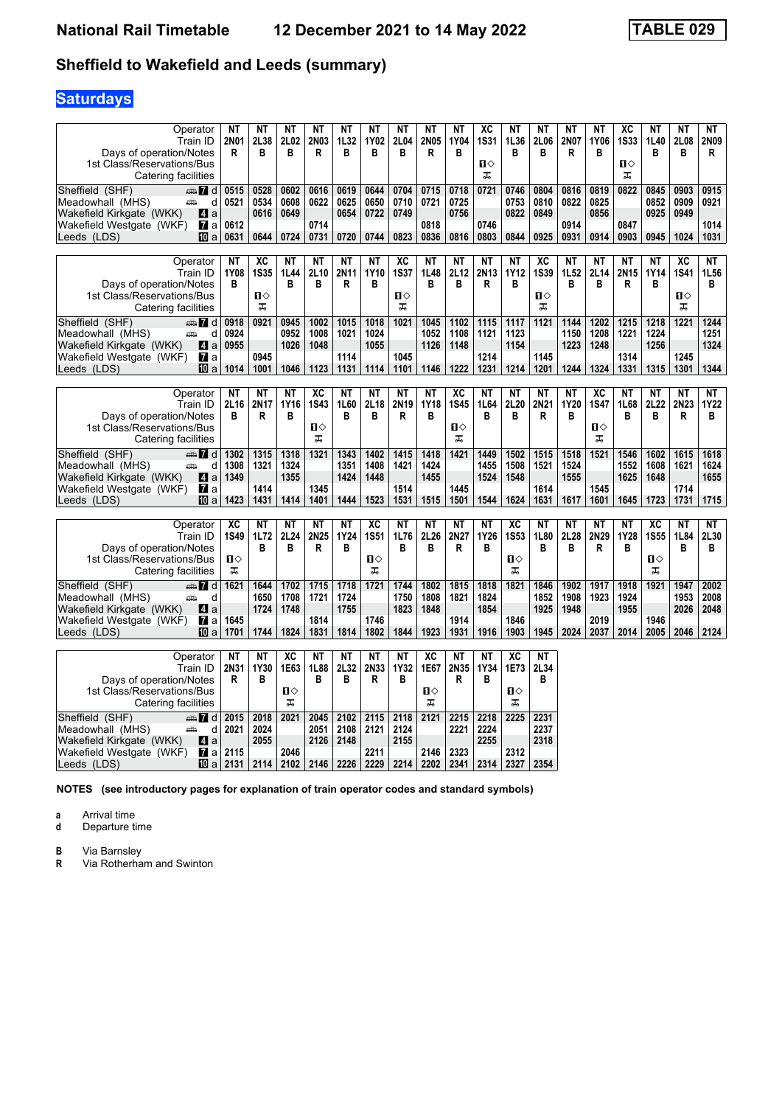### **Sheffield to Wakefield and Leeds (summary)**

# **Saturdays**

| Operator<br>Train ID<br>Days of operation/Notes                                               | <b>NT</b><br>2N01<br>R | NT<br>2L38<br>B      | <b>NT</b><br>2L02<br>B        | NT<br>2N03<br>R   | <b>NT</b><br>1L32<br>B | NT<br>1Y02<br>B                       | <b>NT</b><br>2L04<br>B | <b>NT</b><br>2N05<br>R | ΝT<br>1Y04<br>в      | XC<br><b>1S31</b> | <b>NT</b><br>1L36<br>B         | <b>NT</b><br>2L06<br>B | NT<br>2N07<br>R        | <b>NT</b><br>1Y06<br>B   | XC<br><b>1S33</b>      | <b>NT</b><br>1L40<br>B         | NΤ<br>2L08<br>B      | NT<br>2N09<br>R   |
|-----------------------------------------------------------------------------------------------|------------------------|----------------------|-------------------------------|-------------------|------------------------|---------------------------------------|------------------------|------------------------|----------------------|-------------------|--------------------------------|------------------------|------------------------|--------------------------|------------------------|--------------------------------|----------------------|-------------------|
| 1st Class/Reservations/Bus<br>Catering facilities                                             |                        |                      |                               |                   |                        |                                       |                        |                        |                      | Ⅱ◇<br>ᠼ           |                                |                        |                        |                          | п<br>ᠼ                 |                                |                      |                   |
| Sheffield (SHF)<br>d≣ 7d<br>Meadowhall (MHS)<br>وشبه<br>d<br>Wakefield Kirkgate (WKK)<br>Łla. | 0515<br>0521           | 0528<br>0534<br>0616 | 0602<br>0608<br>0649          | 0616<br>0622      | 0619<br>0625<br>0654   | 0644<br>0650<br>0722                  | 0704<br>0710<br>0749   | 0715<br>0721           | 0718<br>0725<br>0756 | 0721              | 0746<br>0753<br>0822           | 0804<br>0810<br>0849   | 0816<br>0822           | 0819<br>0825<br>0856     | 0822                   | 0845<br>0852<br>0925           | 0903<br>0909<br>0949 | 0915<br>0921      |
| Wakefield Westgate (WKF)<br><b>7</b> a<br>Leeds (LDS)<br>100 a                                | 0612<br>0631           | 0644                 | 0724                          | 0714<br>0731      | 0720                   | 0744                                  | 0823                   | 0818<br>0836           | 0816                 | 0746<br>0803      | 0844                           | 0925                   | 0914<br>0931           | 0914                     | 0847<br>0903           | 0945                           | 1024                 | 1014<br>1031      |
|                                                                                               |                        |                      |                               |                   |                        |                                       |                        |                        |                      |                   |                                |                        |                        |                          |                        |                                |                      |                   |
| Operator<br>Train ID<br>Days of operation/Notes                                               | NΤ<br>1Y08<br>в        | XC<br><b>1S35</b>    | <b>NT</b><br><b>1L44</b><br>в | NT<br>2L10<br>B   | <b>NT</b><br>2N11<br>R | <b>NT</b><br>1Y10<br>в                | XC<br><b>1S37</b>      | ΝT<br>1L48<br>в        | NΤ<br>2L12<br>B      | NΤ<br>2N13<br>R   | ΝT<br>1Y12<br>в                | XC<br><b>1S39</b>      | <b>NT</b><br>1L52<br>в | <b>NT</b><br>2L14<br>B   | <b>NT</b><br>2N15<br>R | NΤ<br><b>1Y14</b><br>в         | XC<br><b>1S41</b>    | NΤ<br>1L56<br>в   |
| 1st Class/Reservations/Bus<br>Catering facilities                                             |                        | $\mathbf{u}$<br>ᠼ    |                               |                   |                        |                                       | $\mathbf{u}$<br>ᠼ      |                        |                      |                   |                                | ்ப<br>ᠼ                |                        |                          |                        |                                | $\mathbf{u}$<br>ᠼ    |                   |
| Sheffield (SHF)<br>anna 7d d                                                                  | 0918                   | 0921                 | 0945                          | 1002              | 1015                   | 1018                                  | 1021                   | 1045                   | 1102                 | 1115              | 1117                           | 1121                   | 1144                   | 1202                     | 1215                   | 1218                           | 1221                 | 1244              |
| Meadowhall (MHS)<br>æ<br>d                                                                    | 0924                   |                      | 0952                          | 1008              | 1021                   | 1024                                  |                        | 1052                   | 1108                 | 1121              | 1123                           |                        | 1150                   | 1208                     | 1221                   | 1224                           |                      | 1251              |
| Wakefield Kirkgate (WKK)<br>ZI a<br>7∎ a<br>Wakefield Westgate (WKF)                          | 0955                   | 0945                 | 1026                          | 1048              | 1114                   | 1055                                  | 1045                   | 1126                   | 1148                 | 1214              | 1154                           | 1145                   | 1223                   | 1248                     | 1314                   | 1256                           | 1245                 | 1324              |
| <b>il0</b> a<br>Leeds (LDS)                                                                   | 1014                   | 1001                 | 1046                          | 1123              | 1131                   | 1114                                  | 1101                   | 1146                   | 1222                 | 1231              | 1214                           | 1201                   | 1244                   | 1324                     | 1331                   | 1315                           | 1301                 | 1344              |
|                                                                                               |                        |                      |                               |                   |                        |                                       |                        |                        |                      |                   |                                |                        |                        |                          |                        |                                |                      |                   |
| Operator<br>Train ID                                                                          | NΤ<br>2L16             | <b>NT</b><br>2N17    | <b>NT</b><br>1Y16             | XC<br><b>1S43</b> | <b>NT</b><br>1L60      | <b>NT</b><br>2L18                     | <b>NT</b><br>2N19      | <b>NT</b><br>1Y18      | XC<br><b>1S45</b>    | <b>NT</b><br>1L64 | <b>NT</b><br>2L20              | <b>NT</b><br>2N21      | <b>NT</b><br>1Y20      | <b>XC</b><br><b>1S47</b> | <b>NT</b><br>1L68      | <b>NT</b><br>2L <sub>22</sub>  | <b>NT</b><br>2N23    | <b>NT</b><br>1Y22 |
| Days of operation/Notes                                                                       | B                      | R                    | в                             |                   | B                      | В                                     | R                      | в                      |                      | B                 | В                              | R                      | B                      |                          | B                      | B                              | R                    | B                 |
| 1st Class/Reservations/Bus                                                                    |                        |                      |                               | $\mathbf{u}$      |                        |                                       |                        |                        | $\blacksquare$       |                   |                                |                        |                        | $\mathbf{u}$             |                        |                                |                      |                   |
| Catering facilities                                                                           |                        |                      |                               | 工                 |                        |                                       |                        |                        | ᠼ                    |                   |                                |                        |                        | 工                        |                        |                                |                      |                   |
| Sheffield (SHF)<br>de 7 d                                                                     | 1302                   | 1315                 | 1318                          | 1321              | 1343                   | 1402                                  | 1415                   | 1418                   | 1421                 | 1449              | 1502                           | 1515                   | 1518                   | 1521                     | 1546                   | 1602                           | 1615                 | 1618              |
| Meadowhall (MHS)<br>پیش<br>d<br>Wakefield Kirkgate (WKK)<br><b>⊿</b> a                        | 1308<br>1349           | 1321                 | 1324<br>1355                  |                   | 1351<br>1424           | 1408<br>1448                          | 1421                   | 1424<br>1455           |                      | 1455<br>1524      | 1508<br>1548                   | 1521                   | 1524<br>1555           |                          | 1552<br>1625           | 1608<br>1648                   | 1621                 | 1624<br>1655      |
| Wakefield Westgate (WKF)<br><b>7</b> a                                                        |                        | 1414                 |                               | 1345              |                        |                                       | 1514                   |                        | 1445                 |                   |                                | 1614                   |                        | 1545                     |                        |                                | 1714                 |                   |
| 100 a<br>Leeds (LDS)                                                                          | 1423                   | 1431                 | 1414                          | 1401              | 1444                   | 1523                                  | 1531                   | 1515                   | 1501                 | 1544              | 1624                           | 1631                   | 1617                   | 1601                     | 1645                   | 1723                           | 1731                 | 1715              |
|                                                                                               |                        |                      |                               |                   |                        |                                       |                        |                        |                      |                   |                                |                        |                        |                          |                        |                                |                      |                   |
| Operator<br>Train ID                                                                          | XC<br>1S49             | NT<br>1L72           | <b>NT</b><br>2L24             | NT<br>2N25        | NT<br>1Y24             | $\overline{\text{xc}}$<br><b>1S51</b> | NT<br>1L76             | <b>NT</b><br>2L26      | ΝT<br>2N27           | NT<br>1Y26        | $\overline{AC}$<br><b>1S53</b> | <b>NT</b><br>1L80      | NT<br>2L28             | NT<br>2N29               | $N$ T<br>1Y28          | $\overline{AC}$<br><b>1S55</b> | NT<br>1L84           | NΤ<br>2L30        |
| Days of operation/Notes                                                                       |                        | B                    | в                             | R                 | в                      |                                       | в                      | в                      | R                    | в                 |                                | в                      | в                      | R                        | в                      |                                | B                    | в                 |
| 1st Class/Reservations/Bus                                                                    | Ⅱ♦                     |                      |                               |                   |                        | П⇔                                    |                        |                        |                      |                   | п⇔                             |                        |                        |                          |                        | П⇔                             |                      |                   |
| Catering facilities                                                                           | ᠼ                      |                      |                               |                   |                        | ᠼ                                     |                        |                        |                      |                   | ᠼ                              |                        |                        |                          |                        | ᠼ                              |                      |                   |
| Sheffield (SHF)<br>d and<br>æ<br>Meadowhall (MHS)<br>d                                        | 1621                   | 1644<br>1650         | 1702<br>1708                  | 1715<br>1721      | 1718<br>1724           | 1721                                  | 1744<br>1750           | 1802<br>1808           | 1815<br>1821         | 1818<br>1824      | 1821                           | 1846<br>1852           | 1902<br>1908           | 1917<br>1923             | 1918<br>1924           | 1921                           | 1947<br>1953         | 2002<br>2008      |
| Wakefield Kirkgate (WKK)<br>4 a                                                               |                        | 1724                 | 1748                          |                   | 1755                   |                                       | 1823                   | 1848                   |                      | 1854              |                                | 1925                   | 1948                   |                          | 1955                   |                                | 2026                 | 2048              |
| Wakefield Westgate (WKF)<br>$\mathbf{z}$ a                                                    | 1645                   |                      |                               | 1814              |                        | 1746                                  |                        |                        | 1914                 |                   | 1846                           |                        |                        | 2019                     |                        | 1946                           |                      |                   |
| <b>而</b> a<br>Leeds (LDS)                                                                     | 1701                   | 1744                 | 1824                          | 1831              | 1814                   | 1802                                  | 1844                   | 1923                   | 1931                 | 1916              | 1903                           | 1945                   | 2024                   | 2037                     | 2014                   | 2005                           | 2046                 | 2124              |
| Operator                                                                                      | ΝT                     | <b>NT</b>            | XC                            | <b>NT</b>         | <b>NT</b>              | <b>NT</b>                             | <b>NT</b>              | XC                     | ΝT                   | NT                | XC                             | <b>NT</b>              |                        |                          |                        |                                |                      |                   |
| Train ID                                                                                      | 2N31                   | 1Y30                 | 1E63                          | 1L88              | 2L32                   | 2N33                                  | 1Y32                   | 1E67                   | 2N35                 | 1Y34              | 1E73                           | 2L34                   |                        |                          |                        |                                |                      |                   |
| Days of operation/Notes                                                                       | R                      | в                    |                               | в                 | в                      | R                                     | в                      |                        | R                    | в                 |                                | в                      |                        |                          |                        |                                |                      |                   |
| 1st Class/Reservations/Bus                                                                    |                        |                      | п⇔<br>ᠼ                       |                   |                        |                                       |                        | п⇔<br>ᠼ                |                      |                   | п⇔<br>ᠼ                        |                        |                        |                          |                        |                                |                      |                   |
| Catering facilities                                                                           |                        | 2018                 | 2021                          | 2045              | 2102                   | 2115                                  | 2118                   | 2121                   | 2215                 | 2218              | 2225                           | 2231                   |                        |                          |                        |                                |                      |                   |
| Sheffield (SHF)<br>de 7 d<br>Meadowhall (MHS)<br>پیش<br>d                                     | 2015<br>2021           | 2024                 |                               | 2051              | 2108                   | 2121                                  | 2124                   |                        | 2221                 | 2224              |                                | 2237                   |                        |                          |                        |                                |                      |                   |
| Wakefield Kirkgate (WKK)<br>4 a                                                               |                        | 2055                 |                               | 2126              | 2148                   |                                       | 2155                   |                        |                      | 2255              |                                | 2318                   |                        |                          |                        |                                |                      |                   |
| 7a<br>Wakefield Westgate (WKF)                                                                | 2115                   |                      | 2046                          |                   |                        | 2211                                  |                        | 2146                   | 2323                 |                   | 2312                           |                        |                        |                          |                        |                                |                      |                   |
| Leeds (LDS)<br>100 a                                                                          | 2131                   | 2114                 | 2102                          | 2146              | 2226                   | 2229                                  | 2214                   | 2202                   | 2341                 | 2314              | 2327                           | 2354                   |                        |                          |                        |                                |                      |                   |

**NOTES (see introductory pages for explanation of train operator codes and standard symbols)**

**a** Arrival time

**d** Departure time

**B** Via Barnsley<br>**R** Via Rotherha

**Via Rotherham and Swinton**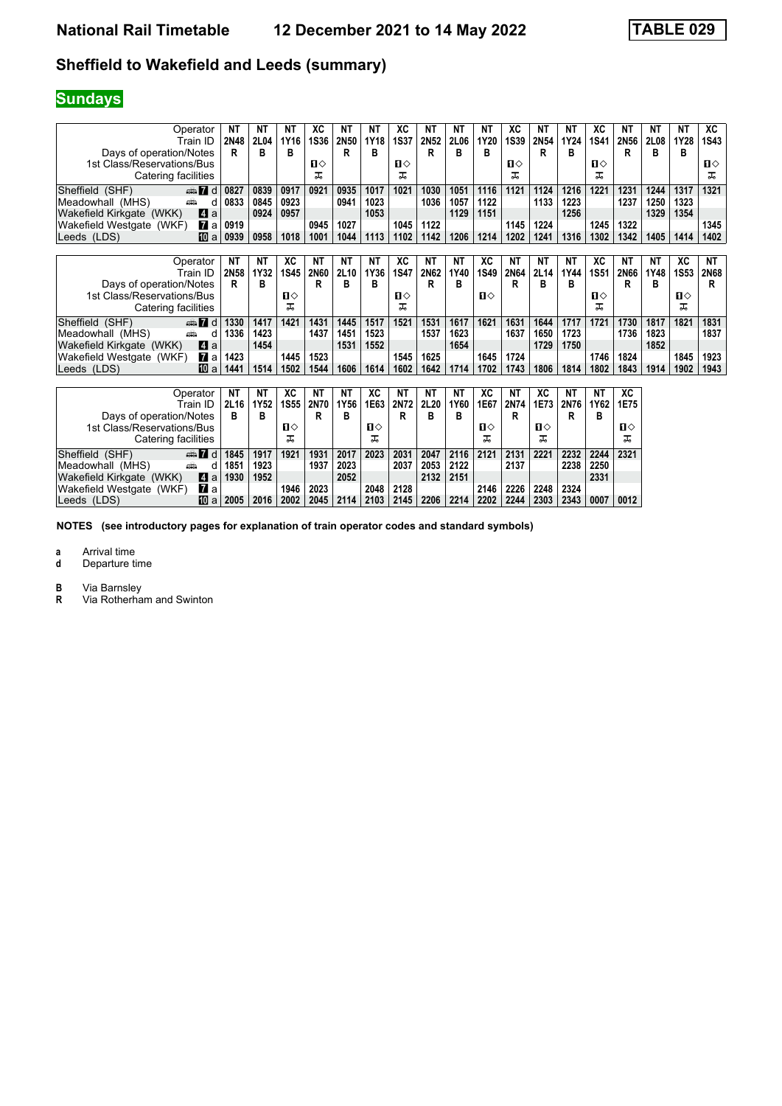### **Sheffield to Wakefield and Leeds (summary)**

# **Sundays**

|                                            | NΤ        | NΤ        | ΝT           | ХC           | <b>NT</b> | NΤ           | XC             | ΝT        | ΝT        | ΝT           | XC          | NΤ           | <b>NT</b>   | XC          | ΝT        | <b>NT</b> | NΤ          | ХC           |
|--------------------------------------------|-----------|-----------|--------------|--------------|-----------|--------------|----------------|-----------|-----------|--------------|-------------|--------------|-------------|-------------|-----------|-----------|-------------|--------------|
| Operator<br>Train ID                       | 2N48      | 2L04      | 1Y16         | <b>1S36</b>  | 2N50      | 1Y18         | <b>1S37</b>    | 2N52      | 2L06      | 1Y20         | <b>1S39</b> | 2N54         | <b>1Y24</b> | <b>1S41</b> | 2N56      | 2L08      | 1Y28        | 1S43         |
| Days of operation/Notes                    | R         | в         | B            |              | R         | B            |                | R         | B         | B            |             | R            | B           |             | R         | в         | B           |              |
| 1st Class/Reservations/Bus                 |           |           |              | $\mathbf{u}$ |           |              | $\mathbf{u}$   |           |           |              | $\Pi$       |              |             | $\Pi$       |           |           |             | $\mathbf{n}$ |
| Catering facilities                        |           |           |              | ᠼ            |           |              | ᠼ              |           |           |              | ᠼ           |              |             | ᠼ           |           |           |             | ᅚ            |
| Sheffield (SHF)<br>$\oplus$ 7 d            | 0827      | 0839      | 0917         | 0921         | 0935      | 1017         | 1021           | 1030      | 1051      | 1116         | 1121        | 1124         | 1216        | 1221        | 1231      | 1244      | 1317        | 1321         |
| Meadowhall (MHS)<br>۳Ê<br>d                | 0833      | 0845      | 0923         |              | 0941      | 1023         |                | 1036      | 1057      | 1122         |             | 1133         | 1223        |             | 1237      | 1250      | 1323        |              |
| Wakefield Kirkgate (WKK)<br>Zi a           |           | 0924      | 0957         |              |           | 1053         |                |           | 1129      | 1151         |             |              | 1256        |             |           | 1329      | 1354        |              |
| Wakefield Westgate (WKF)<br>$\mathbf{z}$ a | 0919      |           |              | 0945         | 1027      |              | 1045           | 1122      |           |              | 1145        | 1224         |             | 1245        | 1322      |           |             | 1345         |
| <b>il</b> a<br>Leeds (LDS)                 | 0939      | 0958      | 1018         | 1001         | 1044      | 1113         | 1102           | 1142      | 1206      | 1214         | 1202        | 1241         | 1316        | 1302        | 1342      | 1405      | 1414        | 1402         |
|                                            |           |           |              |              |           |              |                |           |           |              |             |              |             |             |           |           |             |              |
| Operator                                   | <b>NT</b> | <b>NT</b> | XC           | <b>NT</b>    | <b>NT</b> | <b>NT</b>    | X <sub>C</sub> | <b>NT</b> | <b>NT</b> | XC           | <b>NT</b>   | <b>NT</b>    | <b>NT</b>   | XC          | <b>NT</b> | <b>NT</b> | XC          | <b>NT</b>    |
| Train ID                                   | 2N58      | 1Y32      | 1S45         | 2N60         | 2L10      | 1Y36         | <b>1S47</b>    | 2N62      | 1Y40      | 1S49         | 2N64        | 2L14         | 1Y44        | <b>1S51</b> | 2N66      | 1Y48      | <b>1S53</b> | 2N68         |
| Days of operation/Notes                    | R         | в         |              | R            | в         | в            |                | R         | в         |              | R           | в            | в           |             | R         | в         |             | R            |
| 1st Class/Reservations/Bus                 |           |           | $\mathbf{n}$ |              |           |              | $\mathbf{u}$   |           |           | п⇔           |             |              |             | п⇔          |           |           | Ⅱ♦          |              |
| Catering facilities                        |           |           | ᠼ            |              |           |              | ᠼ              |           |           |              |             |              |             | ᠼ           |           |           | ᅚ           |              |
| Sheffield (SHF)<br>dan 7d                  | 1330      | 1417      | 1421         | 1431         | 1445      | 1517         | 1521           | 1531      | 1617      | 1621         | 1631        | 1644         | 1717        | 1721        | 1730      | 1817      | 1821        | 1831         |
| añ.<br>Meadowhall (MHS)<br>d               | 1336      | 1423      |              | 1437         | 1451      | 1523         |                | 1537      | 1623      |              | 1637        | 1650         | 1723        |             | 1736      | 1823      |             | 1837         |
| Wakefield Kirkgate (WKK)<br><b>Z</b> ∎a    |           | 1454      |              |              | 1531      | 1552         |                |           | 1654      |              |             | 1729         | 1750        |             |           | 1852      |             |              |
| Wakefield Westgate (WKF)<br>$\mathbf{z}$ a | 1423      |           | 1445         | 1523         |           |              | 1545           | 1625      |           | 1645         | 1724        |              |             | 1746        | 1824      |           | 1845        | 1923         |
| <b>M</b> a<br>Leeds (LDS)                  | 1441      | 1514      | 1502         | 1544         | 1606      | 1614         | 1602           | 1642      | 1714      | 1702         | 1743        | 1806         | 1814        | 1802        | 1843      | 1914      | 1902        | 1943         |
|                                            |           |           |              |              |           |              |                |           |           |              |             |              |             |             |           |           |             |              |
| Operator                                   | <b>NT</b> | NΤ        | XC           | <b>NT</b>    | <b>NT</b> | XC           | <b>NT</b>      | <b>NT</b> | <b>NT</b> | XC           | <b>NT</b>   | XC           | <b>NT</b>   | <b>NT</b>   | XC        |           |             |              |
| Train ID                                   | 2L16      | 1Y52      | <b>1S55</b>  | 2N70         | 1Y56      | 1E63         | 2N72           | 2L20      | 1Y60      | 1E67         | 2N74        | 1E73         | 2N76        | 1Y62        | 1E75      |           |             |              |
| Days of operation/Notes                    | B         | B         |              | R            | B         |              | R              | в         | в         |              | R           |              | R           | в           |           |           |             |              |
| 1st Class/Reservations/Bus                 |           |           | $\mathbf{n}$ |              |           | $\mathbf{n}$ |                |           |           | $\mathbf{u}$ |             | $\mathbf{u}$ |             |             | п⇔        |           |             |              |
| Catering facilities                        |           |           | ᠼ            |              |           | ᠼ            |                |           |           | ᠼ            |             | ᠼ            |             |             | ᠼ         |           |             |              |
| Sheffield (SHF)<br>$\oplus$ 7 d            | 1845      | 1917      | 1921         | 1931         | 2017      | 2023         | 2031           | 2047      | 2116      | 2121         | 2131        | 2221         | 2232        | 2244        | 2321      |           |             |              |
| Meadowhall (MHS)<br>añ.<br>d               | 1851      | 1923      |              | 1937         | 2023      |              | 2037           | 2053      | 2122      |              | 2137        |              | 2238        | 2250        |           |           |             |              |
| Wakefield Kirkgate (WKK)<br>L4 a           | 1930      | 1952      |              |              | 2052      |              |                | 2132      | 2151      |              |             |              |             | 2331        |           |           |             |              |
| Wakefield Westgate (WKF)<br>$\mathbf{z}$ a |           |           | 1946         | 2023         |           | 2048         | 2128           |           |           | 2146         | 2226        | 2248         | 2324        |             |           |           |             |              |
| 100 a<br>Leeds (LDS)                       | 2005      | 2016      | 2002         | 2045         | 2114      | 2103         | 2145           | 2206      | 2214      | 2202         | 2244        | 2303         | 2343        | 0007        | 0012      |           |             |              |

**NOTES (see introductory pages for explanation of train operator codes and standard symbols)**

# **a** Arrival time<br>**d** Departure t

**d** Departure time

**B** Via Barnsley<br>**R** Via Rotherha

**Via Rotherham and Swinton**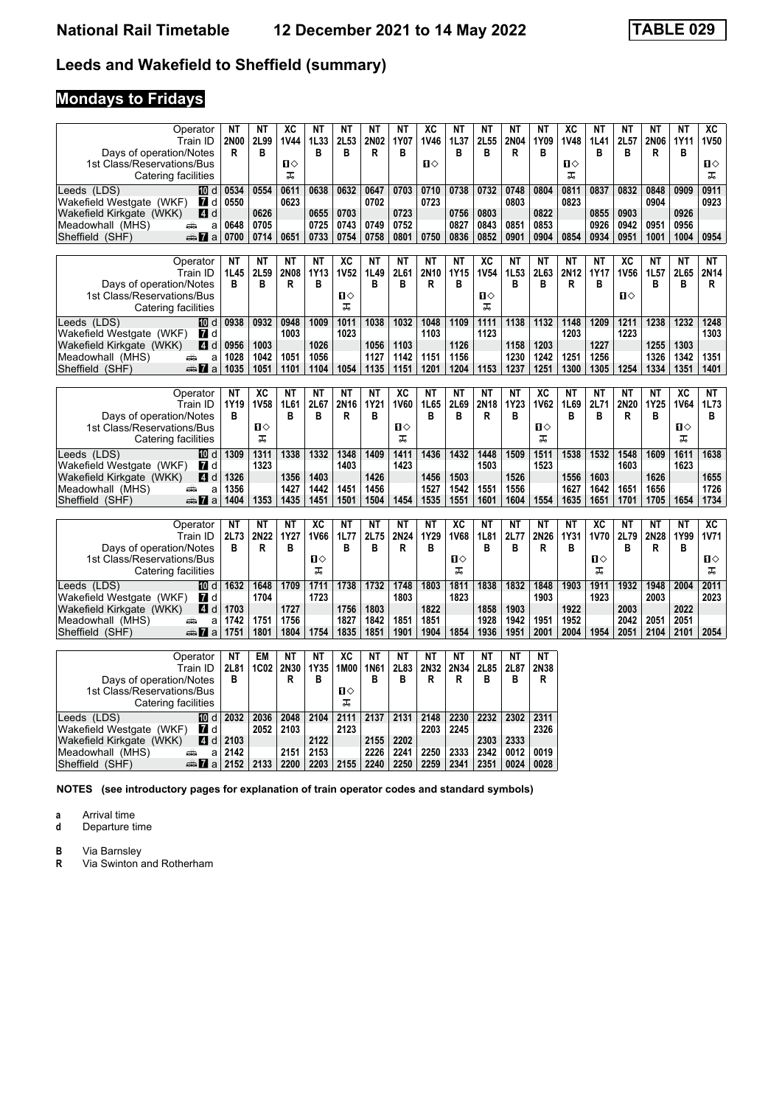#### **Leeds and Wakefield to Sheffield (summary)**

#### **Mondays to Fridays**

| Operator<br>Train ID                                                                              | <b>NT</b><br>2N00 | <b>NT</b><br>2L99 | XC<br><b>1V44</b> | <b>NT</b><br>1L33      | <b>NT</b><br>2L53 | <b>NT</b><br>2N02 | <b>NT</b><br>1Y07 | XC<br>1V46   | <b>NT</b><br>1L37 | <b>NT</b><br>2L55 | <b>NT</b><br>2N04 | $N$ T<br>1Y09 | XC<br><b>1V48</b> | <b>NT</b><br>1L41      | <b>NT</b><br>2L57 | <b>NT</b><br>2N06 | <b>NT</b><br><b>1Y11</b> | XC<br><b>1V50</b> |
|---------------------------------------------------------------------------------------------------|-------------------|-------------------|-------------------|------------------------|-------------------|-------------------|-------------------|--------------|-------------------|-------------------|-------------------|---------------|-------------------|------------------------|-------------------|-------------------|--------------------------|-------------------|
| Days of operation/Notes                                                                           | R                 | в                 |                   | в                      | в                 | R                 | в                 |              | в                 | в                 | R                 | в             |                   | в                      | в                 | R                 | в                        |                   |
| 1st Class/Reservations/Bus                                                                        |                   |                   | Ⅱ◇                |                        |                   |                   |                   | Ⅱ♦           |                   |                   |                   |               | Ⅱ◇                |                        |                   |                   |                          | Ⅱ♦                |
| Catering facilities<br>Leeds (LDS)<br>100 d                                                       | 0534              | 0554              | ᠼ<br>0611         | 0638                   | 0632              | 0647              | 0703              | 0710         | 0738              | 0732              | 0748              | 0804          | ᠼ<br>0811         | 0837                   | 0832              | 0848              | 0909                     | 工<br>0911         |
| 7 d<br>Wakefield Westgate (WKF)                                                                   | 0550              |                   | 0623              |                        |                   | 0702              |                   | 0723         |                   |                   | 0803              |               | 0823              |                        |                   | 0904              |                          | 0923              |
| 4 d<br>Wakefield Kirkgate (WKK)                                                                   |                   | 0626              |                   | 0655                   | 0703              |                   | 0723              |              | 0756              | 0803              |                   | 0822          |                   | 0855                   | 0903              |                   | 0926                     |                   |
| Meadowhall (MHS)<br>a<br>æ<br>Sheffield (SHF)<br><del>⊯</del> 7 a                                 | 0648<br>0700      | 0705<br>0714      | 0651              | 0725<br>0733           | 0743<br>0754      | 0749<br>0758      | 0752<br>0801      | 0750         | 0827<br>0836      | 0843<br>0852      | 0851<br>0901      | 0853<br>0904  | 0854              | 0926<br>0934           | 0942<br>0951      | 0951<br>1001      | 0956<br>1004             | 0954              |
|                                                                                                   |                   |                   |                   |                        |                   |                   |                   |              |                   |                   |                   |               |                   |                        |                   |                   |                          |                   |
| Operator                                                                                          | NT                | NΤ                | <b>NT</b>         | <b>NT</b>              | <b>XC</b>         | <b>NT</b>         | <b>NT</b>         | NT           | ΝT                | <b>XC</b>         | <b>NT</b>         | ΝT            | <b>NT</b>         | <b>NT</b>              | XC                | <b>NT</b>         | <b>NT</b>                | NΤ                |
| Train ID<br>Days of operation/Notes                                                               | 1L45<br>В         | 2L59<br>в         | 2N08<br>R         | 1Y13<br>в              | 1V52              | 1L49<br>в         | 2L61<br>В         | 2N10<br>R    | 1Y15<br>В         | <b>1V54</b>       | 1L53<br>в         | 2L63<br>в     | 2N12<br>R         | <b>1Y17</b><br>в       | <b>1V56</b>       | 1L57<br>в         | 2L65<br>в                | 2N14<br>R         |
| 1st Class/Reservations/Bus                                                                        |                   |                   |                   |                        | Ⅱ◇                |                   |                   |              |                   | п⇔                |                   |               |                   |                        | Ω⇔                |                   |                          |                   |
| Catering facilities                                                                               |                   |                   |                   |                        | ᠼ                 |                   |                   |              |                   | ᠼ                 |                   |               |                   |                        |                   |                   |                          |                   |
| Leeds (LDS)<br>10 d<br>Wakefield Westgate (WKF)<br>$I$ d                                          | 0938              | 0932              | 0948<br>1003      | 1009                   | 1011<br>1023      | 1038              | 1032              | 1048<br>1103 | 1109              | 1111<br>1123      | 1138              | 1132          | 1148<br>1203      | 1209                   | 1211<br>1223      | 1238              | 1232                     | 1248<br>1303      |
| Wakefield Kirkgate (WKK)<br>$\overline{4}$<br>d                                                   | 0956              | 1003              |                   | 1026                   |                   | 1056              | 1103              |              | 1126              |                   | 1158              | 1203          |                   | 1227                   |                   | 1255              | 1303                     |                   |
| Meadowhall (MHS)<br>پېش<br>a                                                                      | 1028              | 1042              | 1051              | 1056                   |                   | 1127              | 1142              | 1151         | 1156              |                   | 1230              | 1242          | 1251              | 1256                   |                   | 1326              | 1342                     | 1351              |
| Sheffield (SHF)<br>anna <mark>7</mark> ∎a                                                         | 1035              | 1051              | 1101              | 1104                   | 1054              | 1135              | 1151              | 1201         | 1204              | 1153              | 1237              | 1251          | 1300              | 1305                   | 1254              | 1334              | 1351                     | 1401              |
| Operator                                                                                          | <b>NT</b>         | XC                | <b>NT</b>         | <b>NT</b>              | <b>NT</b>         | <b>NT</b>         | XC                | <b>NT</b>    | <b>NT</b>         | <b>NT</b>         | <b>NT</b>         | XC            | <b>NT</b>         | <b>NT</b>              | <b>NT</b>         | <b>NT</b>         | XC                       | NΤ                |
| Train ID<br>Days of operation/Notes                                                               | 1Y19<br>в         | <b>1V58</b>       | 1L61<br>в         | 2L67<br>в              | 2N16<br>R         | 1Y21<br>в         | 1V60              | 1L65<br>в    | 2L69<br>в         | 2N18<br>R         | 1Y23<br>в         | 1V62          | 1L69<br>в         | 2L71<br>в              | 2N20<br>R         | 1Y25<br>в         | <b>1V64</b>              | 1L73<br>в         |
| 1st Class/Reservations/Bus                                                                        |                   | Ⅱ◇                |                   |                        |                   |                   | Ⅱ◇                |              |                   |                   |                   | п⇔            |                   |                        |                   |                   | О                        |                   |
| Catering facilities                                                                               |                   | 工                 |                   |                        |                   |                   | 工                 |              |                   |                   |                   | 盂             |                   |                        |                   |                   | ᠼ                        |                   |
| Leeds (LDS)<br>10 d                                                                               | 1309              | 1311              | 1338              | 1332                   | 1348              | 1409              | 1411              | 1436         | 1432              | 1448              | 1509              | 1511          | 1538              | 1532                   | 1548              | 1609              | 1611                     | 1638              |
| Wakefield Westgate (WKF)<br><b>7</b> d<br>Wakefield Kirkgate (WKK)<br>4d                          | 1326              | 1323              | 1356              | 1403                   | 1403              | 1426              | 1423              | 1456         | 1503              | 1503              | 1526              | 1523          | 1556              | 1603                   | 1603              | 1626              | 1623                     | 1655              |
| Meadowhall (MHS)<br>a<br>æ                                                                        | 1356              |                   | 1427              | 1442                   | 1451              | 1456              |                   | 1527         | 1542              | 1551              | 1556              |               | 1627              | 1642                   | 1651              | 1656              |                          | 1726              |
| Sheffield (SHF)<br>da <mark>7</mark> a                                                            | 1404              | 1353              | 1435              | 1451                   | 1501              | 1504              | 1454              | 1535         | 1551              | 1601              | 1604              | 1554          | 1635              | 1651                   | 1701              | 1705              | 1654                     | 1734              |
| Operator                                                                                          | <b>NT</b>         | <b>NT</b>         | NT                | $\overline{\text{xc}}$ | NT                | NT                | <b>NT</b>         | <b>NT</b>    | $\overline{AC}$   | NT                | <b>NT</b>         | <b>NT</b>     | $N$ T             | $\overline{\text{xc}}$ | <b>NT</b>         | <b>NT</b>         | <b>NT</b>                | $\overline{AC}$   |
| Train ID                                                                                          | 2L73              | 2N22              | 1Y27              | 1V66                   | 1L77              | 2L75              | 2N24              | 1Y29         | <b>1V68</b>       | 1L81              | 2L77              | 2N26          | 1Y31              | <b>1V70</b>            | 2L79              | 2N28              | 1Y99                     | <b>1V71</b>       |
| Days of operation/Notes<br>1st Class/Reservations/Bus                                             | В                 | R                 | в                 | п                      | в                 | B                 | R                 | в            | Ⅱ◇                | в                 | в                 | R             | в                 | Ⅱ◇                     | в                 | R                 | в                        | П⇔                |
| Catering facilities                                                                               |                   |                   |                   | ᠼ                      |                   |                   |                   |              | ᠼ                 |                   |                   |               |                   | ᠼ                      |                   |                   |                          | ᠼ                 |
| Leeds (LDS)<br>100 d                                                                              | 1632              | 1648              | 1709              | 1711                   | 1738              | 1732              | 1748              | 1803         | 1811              | 1838              | 1832              | 1848          | 1903              | 1911                   | 1932              | 1948              | 2004                     | 2011              |
| Wakefield Westgate (WKF)<br><b>7</b> d<br>Wakefield Kirkgate (WKK)<br>d<br>4                      | 1703              | 1704              | 1727              | 1723                   | 1756              | 1803              | 1803              | 1822         | 1823              | 1858              | 1903              | 1903          | 1922              | 1923                   | 2003              | 2003              | 2022                     | 2023              |
| Meadowhall (MHS)<br>پیش<br>a                                                                      | 1742              | 1751              | 1756              |                        | 1827              | 1842              | 1851              | 1851         |                   | 1928              | 1942              | 1951          | 1952              |                        | 2042              | 2051              | 2051                     |                   |
| Sheffield (SHF)<br>— <mark>7</mark> а                                                             | 1751              | 1801              | 1804              | 1754                   | 1835              | 1851              | 1901              | 1904         | 1854              | 1936              | 1951              | 2001          | 2004              | 1954                   | 2051              | 2104              | 2101                     | 2054              |
| Operator                                                                                          | <b>NT</b>         | EM                | <b>NT</b>         | <b>NT</b>              | $\overline{AC}$   | <b>NT</b>         | <b>NT</b>         | <b>NT</b>    | <b>NT</b>         | <b>NT</b>         | <b>NT</b>         | <b>NT</b>     |                   |                        |                   |                   |                          |                   |
| Train ID                                                                                          | 2L81              | <b>1C02</b>       | 2N30              | 1Y35                   | 1M00              | 1N61              | 2L83              | 2N32         | 2N34              | 2L85              | 2L87              | 2N38          |                   |                        |                   |                   |                          |                   |
| Days of operation/Notes<br>1st Class/Reservations/Bus                                             | В                 |                   | R                 | в                      | Ⅱ◇                | в                 | в                 | R            | R                 | в                 | в                 | R             |                   |                        |                   |                   |                          |                   |
| Catering facilities                                                                               |                   |                   |                   |                        | ᠼ                 |                   |                   |              |                   |                   |                   |               |                   |                        |                   |                   |                          |                   |
| Leeds (LDS)<br>10 d                                                                               | 2032              | 2036              | 2048              | 2104                   | 2111              | 2137              | 2131              | 2148         | 2230              | 2232              | 2302              | 2311          |                   |                        |                   |                   |                          |                   |
| $\blacksquare$ d<br>Wakefield Westgate (WKF)<br>Wakefield Kirkgate (WKK)<br>$\boldsymbol{A}$<br>d | 2103              | 2052              | 2103              | 2122                   | 2123              | 2155              | 2202              | 2203         | 2245              | 2303              | 2333              | 2326          |                   |                        |                   |                   |                          |                   |
| Meadowhall (MHS)<br>a<br>æ                                                                        | 2142              |                   | 2151              | 2153                   |                   | 2226              | 2241              | 2250         | 2333              | 2342              | 0012              | 0019          |                   |                        |                   |                   |                          |                   |

**NOTES (see introductory pages for explanation of train operator codes and standard symbols)**

 Sheffield (SHF) 5ö a **2152 2133 2200 2203 2155 2240 2250 2259 2341 2351 0024 0028**

**a** Arrival time

**d** Departure time

**B** Via Barnsley<br>**R** Via Swinton a

**Via Swinton and Rotherham**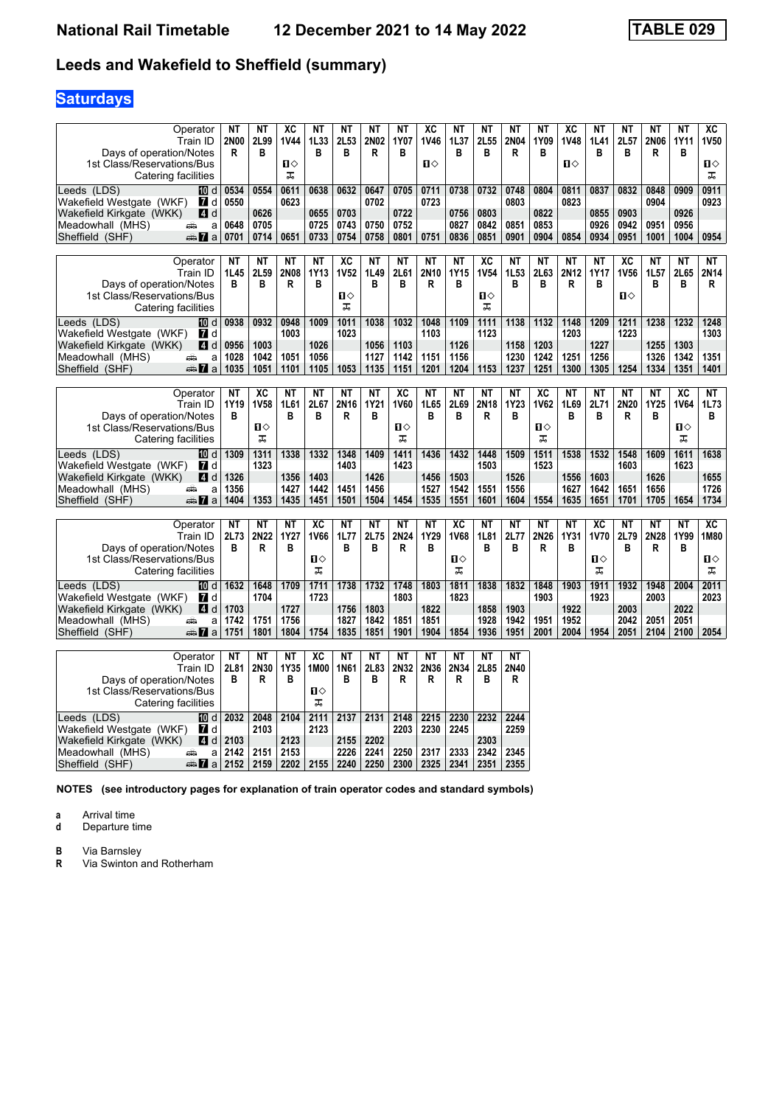#### **Leeds and Wakefield to Sheffield (summary)**

#### **Saturdays**

| Operator                                                 | <b>NT</b>         | <b>NT</b>         | XC                | <b>NT</b>              | <b>NT</b>         | <b>NT</b>                | <b>NT</b>      | XC                | <b>NT</b>         | NT                            | <b>NT</b>         | <b>NT</b>         | XC        | <b>NT</b>       | <b>NT</b>         | <b>NT</b>         | <b>NT</b>   | XC                     |
|----------------------------------------------------------|-------------------|-------------------|-------------------|------------------------|-------------------|--------------------------|----------------|-------------------|-------------------|-------------------------------|-------------------|-------------------|-----------|-----------------|-------------------|-------------------|-------------|------------------------|
| Train ID                                                 | 2N00              | 2L99              | 1V44              | 1L33                   | 2L53              | 2N02                     | 1Y07           | <b>1V46</b>       | 1L37              | 2L55                          | 2N04              | 1Y09              | 1V48      | 1L41            | 2L57              | 2N06              | 1Y11        | 1V50                   |
| Days of operation/Notes                                  | R                 | в                 |                   | B                      | B                 | R                        | В              |                   | в                 | в                             | R                 | B                 |           | B               | в                 | R                 | B           |                        |
| 1st Class/Reservations/Bus                               |                   |                   | п                 |                        |                   |                          |                | п⇔                |                   |                               |                   |                   | п⇔        |                 |                   |                   |             | П⇔                     |
| Catering facilities                                      |                   |                   | ᠼ                 |                        |                   |                          |                |                   |                   |                               |                   |                   |           |                 |                   |                   |             | ᠼ                      |
|                                                          |                   |                   |                   |                        |                   |                          |                |                   |                   |                               |                   |                   |           |                 |                   |                   |             |                        |
| Leeds (LDS)<br>10 d                                      | 0534              | 0554              | 0611              | 0638                   | 0632              | 0647                     | 0705           | 0711              | 0738              | 0732                          | 0748              | 0804              | 0811      | 0837            | 0832              | 0848              | 0909        | 0911                   |
| 7 d<br>Wakefield Westgate (WKF)                          | 0550              |                   | 0623              |                        |                   | 0702                     |                | 0723              |                   |                               | 0803              |                   | 0823      |                 |                   | 0904              |             | 0923                   |
| 4 d<br>Wakefield Kirkgate (WKK)                          |                   | 0626              |                   | 0655                   | 0703              |                          | 0722           |                   | 0756              | 0803                          |                   | 0822              |           | 0855            | 0903              |                   | 0926        |                        |
| Meadowhall (MHS)<br>بالله<br>a                           | 0648              | 0705              |                   | 0725                   | 0743              | 0750                     | 0752           |                   | 0827              | 0842                          | 0851              | 0853              |           | 0926            | 0942              | 0951              | 0956        |                        |
| Sheffield (SHF)<br>ana Mar                               | 0701              | 0714              | 0651              | 0733                   | 0754              | 0758                     | 0801           | 0751              | 0836              | 0851                          | 0901              | 0904              | 0854      | 0934            | 0951              | 1001              | 1004        | 0954                   |
|                                                          |                   | <b>NT</b>         | <b>NT</b>         | <b>NT</b>              | XC                | <b>NT</b>                | <b>NT</b>      | <b>NT</b>         | NT                | XC                            | ΝT                | <b>NT</b>         | <b>NT</b> | <b>NT</b>       | XC                | <b>NT</b>         | <b>NT</b>   | NΤ                     |
| Operator<br>Train ID                                     | ΝT<br>1L45        | 2L59              | 2N08              | 1Y13                   | <b>1V52</b>       | 1L49                     | 2L61           | 2N10              | <b>1Y15</b>       | <b>1V54</b>                   | 1L53              | 2L63              | 2N12      | 1Y17            | <b>1V56</b>       | 1L57              | 2L65        | 2N14                   |
| Days of operation/Notes                                  | в                 | в                 | R                 | B                      |                   | в                        | B              | R                 | в                 |                               | B                 | B                 | R         | B               |                   | в                 | B           | R                      |
| 1st Class/Reservations/Bus                               |                   |                   |                   |                        | Ⅱ◇                |                          |                |                   |                   | Ⅱ◇                            |                   |                   |           |                 | п⇔                |                   |             |                        |
| Catering facilities                                      |                   |                   |                   |                        | ᠼ                 |                          |                |                   |                   | ᠼ                             |                   |                   |           |                 |                   |                   |             |                        |
|                                                          |                   |                   |                   |                        |                   |                          |                |                   |                   |                               |                   |                   |           |                 |                   |                   |             |                        |
| Leeds (LDS)<br>10 d                                      | 0938              | 0932              | 0948              | 1009                   | 1011              | 1038                     | 1032           | 1048              | 1109              | 1111                          | 1138              | 1132              | 1148      | 1209            | 1211              | 1238              | 1232        | 1248                   |
| Wakefield Westgate (WKF)<br><b>7</b> d                   |                   |                   | 1003              |                        | 1023              |                          |                | 1103              |                   | 1123                          |                   |                   | 1203      |                 | 1223              |                   |             | 1303                   |
| Wakefield Kirkgate (WKK)<br>4 d                          | 0956              | 1003              |                   | 1026                   |                   | 1056                     | 1103           |                   | 1126              |                               | 1158              | 1203              |           | 1227            |                   | 1255              | 1303        |                        |
| Meadowhall (MHS)<br>æ<br>a                               | 1028              | 1042              | 1051              | 1056                   |                   | 1127                     | 1142           | 1151              | 1156              |                               | 1230              | 1242              | 1251      | 1256            |                   | 1326              | 1342        | 1351                   |
| Sheffield (SHF)<br>anna <mark>a</mark> nna ann an        | 1035              | 1051              | 1101              | 1105                   | 1053              | 1135                     | 1151           | 1201              | 1204              | 1153                          | 1237              | 1251              | 1300      | 1305            | 1254              | 1334              | 1351        | 1401                   |
|                                                          |                   |                   |                   | <b>NT</b>              |                   |                          | XC             |                   |                   |                               |                   |                   | <b>NT</b> | <b>NT</b>       |                   |                   | XC          |                        |
| Operator<br>Train ID                                     | <b>NT</b><br>1Y19 | XC<br><b>1V58</b> | <b>NT</b><br>1L61 | 2L67                   | <b>NT</b><br>2N16 | <b>NT</b><br><b>1Y21</b> | 1V60           | <b>NT</b><br>1L65 | <b>NT</b><br>2L69 | <b>NT</b><br>2N <sub>18</sub> | <b>NT</b><br>1Y23 | XC<br><b>1V62</b> | 1L69      | 2L71            | <b>NT</b><br>2N20 | <b>NT</b><br>1Y25 | <b>1V64</b> | <b>NT</b><br>1L73      |
|                                                          | в                 |                   | в                 | B                      | R                 | в                        |                | в                 | в                 | R                             | в                 |                   | в         | B               | R                 | в                 |             | в                      |
| Days of operation/Notes<br>1st Class/Reservations/Bus    |                   | п                 |                   |                        |                   |                          | $\blacksquare$ |                   |                   |                               |                   | п⇔                |           |                 |                   |                   | П⇔          |                        |
| Catering facilities                                      |                   | ᠼ                 |                   |                        |                   |                          | ᠼ              |                   |                   |                               |                   | ᠼ                 |           |                 |                   |                   | ᠼ           |                        |
|                                                          |                   |                   |                   |                        |                   |                          |                |                   |                   |                               |                   |                   |           |                 |                   |                   |             |                        |
| Leeds (LDS)<br>[10] d                                    | 1309              | 1311              | 1338              | 1332                   | 1348              | 1409                     | 1411           | 1436              | 1432              | 1448                          | 1509              | 1511              | 1538      | 1532            | 1548              | 1609              | 1611        | 1638                   |
| 7 d<br>Wakefield Westgate (WKF)                          |                   | 1323              |                   |                        | 1403              |                          | 1423           |                   |                   | 1503                          |                   | 1523              |           |                 | 1603              |                   | 1623        |                        |
| Wakefield Kirkgate (WKK)<br>4 d                          | 1326              |                   | 1356              | 1403                   |                   | 1426                     |                | 1456              | 1503              |                               | 1526              |                   | 1556      | 1603            |                   | 1626              |             | 1655                   |
| Meadowhall (MHS)<br>æ<br>a                               | 1356              |                   | 1427              | 1442                   | 1451              | 1456                     |                | 1527              | 1542              | 1551                          | 1556              |                   | 1627      | 1642            | 1651              | 1656              |             | 1726                   |
| Sheffield (SHF)<br>da <mark>zi</mark> a                  | 1404              | 1353              | 1435              | 1451                   | 1501              | 1504                     | 1454           | 1535              | 1551              | 1601                          | 1604              | 1554              | 1635      | 1651            | 1701              | 1705              | 1654        | 1734                   |
| Operator                                                 | NT                | NT                | NT                | $\overline{\text{xc}}$ | NT                | ΝT                       | <b>NT</b>      | <b>NT</b>         | XC                | NΤ                            | <b>NT</b>         | <b>NT</b>         | <b>NT</b> | $\overline{AC}$ | <b>NT</b>         | <b>NT</b>         | <b>NT</b>   | $\overline{\text{xc}}$ |
| Train ID                                                 | 2L73              | 2N22              | 1Y27              | 1V66                   | 1L77              | 2L75                     | 2N24           | 1Y29              | <b>1V68</b>       | 1L81                          | 2L77              | 2N26              | 1Y31      | 1V70            | 2L79              | 2N28              | 1Y99        | 1M80                   |
| Days of operation/Notes                                  | В                 | R                 | в                 |                        | в                 | в                        | R              | в                 |                   | в                             | в                 | R                 | в         |                 | в                 | R                 | в           |                        |
| 1st Class/Reservations/Bus                               |                   |                   |                   | $\blacksquare$         |                   |                          |                |                   | П⇔                |                               |                   |                   |           | П⇔              |                   |                   |             | П⇔                     |
| Catering facilities                                      |                   |                   |                   | 工                      |                   |                          |                |                   | ᠼ                 |                               |                   |                   |           | ᠼ               |                   |                   |             | 工                      |
|                                                          |                   |                   |                   |                        |                   |                          |                |                   |                   |                               |                   |                   |           |                 |                   |                   |             |                        |
| Leeds (LDS)<br>10 d                                      | 1632              | 1648              | 1709              | 1711                   | 1738              | 1732                     | 1748           | 1803              | 1811              | 1838                          | 1832              | 1848              | 1903      | 1911            | 1932              | 1948              | 2004        | 2011                   |
| <b>7</b> d<br>Wakefield Westgate (WKF)<br>4 d            | 1703              | 1704              | 1727              | 1723                   | 1756              | 1803                     | 1803           | 1822              | 1823              | 1858                          | 1903              | 1903              | 1922      | 1923            | 2003              | 2003              | 2022        | 2023                   |
| Wakefield Kirkgate (WKK)<br>Meadowhall (MHS)<br>پیش<br>a | 1742              |                   | 1756              |                        | 1827              | 1842                     | 1851           | 1851              |                   | 1928                          | 1942              | 1951              | 1952      |                 | 2042              | 2051              | 2051        |                        |
| Sheffield (SHF)<br>$\mathbb{Z}$ a                        | 1751              | 1751<br>1801      | 1804              | 1754                   | 1835              | 1851                     | 1901           | 1904              | 1854              | 1936                          | 1951              | 2001              | 2004      | 1954            | 2051              | 2104              | 2100        | 2054                   |
|                                                          |                   |                   |                   |                        |                   |                          |                |                   |                   |                               |                   |                   |           |                 |                   |                   |             |                        |
| Operator                                                 | <b>NT</b>         | <b>NT</b>         | NT                | XC                     | NΤ                | ΝT                       | <b>NT</b>      | <b>NT</b>         | ΝT                | NT                            | ΝT                |                   |           |                 |                   |                   |             |                        |
| Train ID                                                 | 2L81              | 2N30              | 1Y35              | 1M00                   | <b>1N61</b>       | 2L83                     | 2N32           | 2N36              | 2N34              | 2L85                          | 2N40              |                   |           |                 |                   |                   |             |                        |
| Days of operation/Notes                                  | B                 | R                 | в                 |                        | В                 | B                        | R              | R                 | R                 | B                             | R                 |                   |           |                 |                   |                   |             |                        |
| 1st Class/Reservations/Bus                               |                   |                   |                   | п                      |                   |                          |                |                   |                   |                               |                   |                   |           |                 |                   |                   |             |                        |
| Catering facilities                                      |                   |                   |                   | ᠼ                      |                   |                          |                |                   |                   |                               |                   |                   |           |                 |                   |                   |             |                        |
|                                                          |                   |                   |                   |                        |                   |                          |                |                   |                   |                               |                   |                   |           |                 |                   |                   |             |                        |
| Leeds (LDS)<br>10 d                                      | 2032              | 2048              | 2104              | 2111                   | 2137              | 2131                     | 2148           | 2215              | 2230              | 2232                          | 2244              |                   |           |                 |                   |                   |             |                        |
| Wakefield Westgate (WKF)<br><b>7</b> d                   |                   | 2103              |                   | 2123                   |                   |                          | 2203           | 2230              | 2245              | 2303                          | 2259              |                   |           |                 |                   |                   |             |                        |
| Wakefield Kirkgate (WKK)<br>4<br>d<br>پیش                | 2103<br>2142      | 2151              | 2123<br>2153      |                        | 2155<br>2226      | 2202<br>2241             | 2250           | 2317              | 2333              | 2342                          | 2345              |                   |           |                 |                   |                   |             |                        |
| Meadowhall (MHS)<br>a                                    |                   |                   |                   |                        | 2240              | 2250                     | 2300           |                   |                   |                               |                   |                   |           |                 |                   |                   |             |                        |
| Sheffield (SHF)<br>dan <mark>7</mark> a                  | 2152              | 2159              | 2202              | 2155                   |                   |                          |                | 2325              | 2341              | 2351                          | 2355              |                   |           |                 |                   |                   |             |                        |

 Sheffield (SHF) 5ö a **2152 2159 2202 2155 2240 2250 2300 2325 2341 2351 2355 NOTES (see introductory pages for explanation of train operator codes and standard symbols)**

**a** Arrival time

**d** Departure time

**B** Via Barnsley<br>**R** Via Swinton a

**Via Swinton and Rotherham**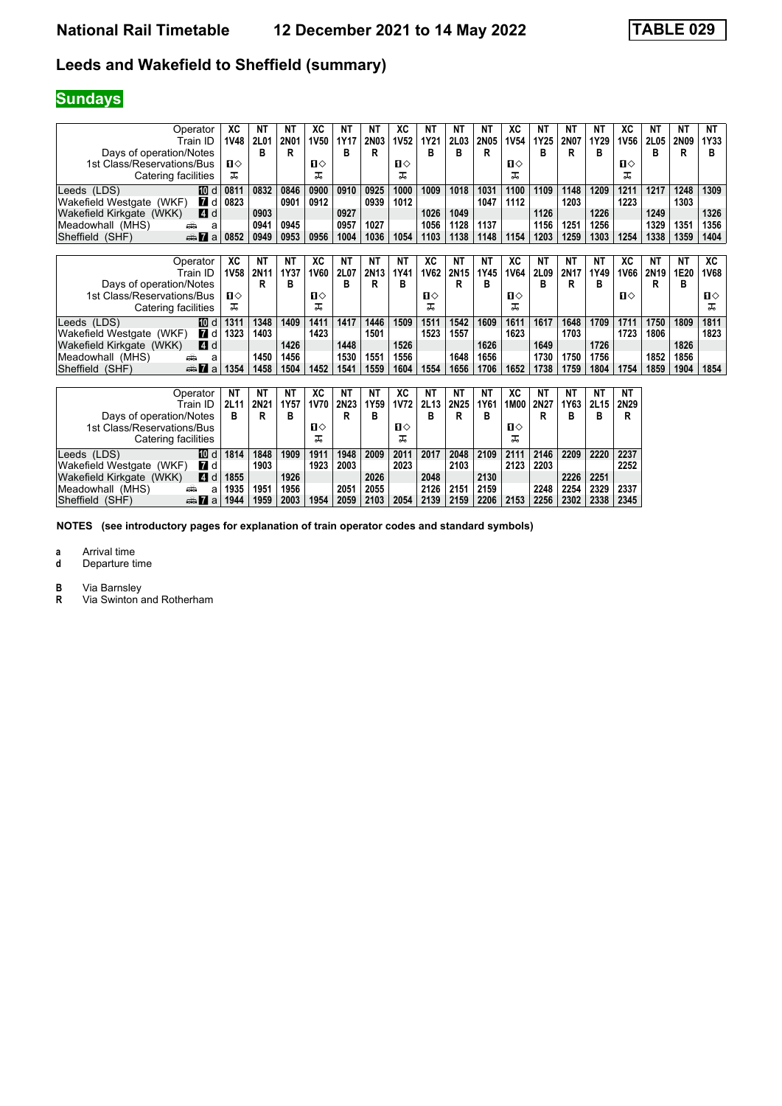### **Leeds and Wakefield to Sheffield (summary)**

# **Sundays**

| Operator                                        | XC           | NΤ   | ΝT        | XC           | <b>NT</b>   | ΝT        | XC           | NΤ           | NΤ   | NΤ        | XC           | NΤ        | <b>NT</b>   | NΤ        | XC           | NΤ        | NΤ        | <b>NT</b>      |
|-------------------------------------------------|--------------|------|-----------|--------------|-------------|-----------|--------------|--------------|------|-----------|--------------|-----------|-------------|-----------|--------------|-----------|-----------|----------------|
| Train ID                                        | <b>1V48</b>  | 2L01 | 2N01      | <b>1V50</b>  | <b>1Y17</b> | 2N03      | <b>1V52</b>  | <b>1Y21</b>  | 2L03 | 2N05      | <b>1V54</b>  | 1Y25      | <b>2N07</b> | 1Y29      | <b>1V56</b>  | 2L05      | 2N09      | 1Y33           |
| Days of operation/Notes                         |              | B    | R         |              | B           | R         |              | в            | B    | R         |              | B         | R           | в         |              | в         | R         | в              |
| 1st Class/Reservations/Bus                      | О            |      |           | п⇔           |             |           | $\mathbf{u}$ |              |      |           | п⇔           |           |             |           | $\mathbf{u}$ |           |           |                |
| Catering facilities                             | ᠼ            |      |           | ᠼ            |             |           | ᠼ            |              |      |           | ᠼ            |           |             |           | ᠼ            |           |           |                |
| Leeds (LDS)<br>100 d                            | 0811         | 0832 | 0846      | 0900         | 0910        | 0925      | 1000         | 1009         | 1018 | 1031      | 1100         | 1109      | 1148        | 1209      | 1211         | 1217      | 1248      | 1309           |
| 7<br>Wakefield Westgate (WKF)<br>d              | 0823         |      | 0901      | 0912         |             | 0939      | 1012         |              |      | 1047      | 1112         |           | 1203        |           | 1223         |           | 1303      |                |
| ZI d<br>Wakefield Kirkgate (WKK)                |              | 0903 |           |              | 0927        |           |              | 1026         | 1049 |           |              | 1126      |             | 1226      |              | 1249      |           | 1326           |
| Meadowhall (MHS)<br>æ<br>a                      |              | 0941 | 0945      |              | 0957        | 1027      |              | 1056         | 1128 | 1137      |              | 1156      | 1251        | 1256      |              | 1329      | 1351      | 1356           |
| $\oplus \mathbf{7}$<br>Sheffield (SHF)<br>a     | 0852         | 0949 | 0953      | 0956         | 1004        | 1036      | 1054         | 1103         | 1138 | 1148      | 1154         | 1203      | 1259        | 1303      | 1254         | 1338      | 1359      | 1404           |
|                                                 |              |      |           |              |             |           |              |              |      |           |              |           |             |           |              |           |           |                |
| Operator                                        | XC           | ΝT   | <b>NT</b> | XC           | <b>NT</b>   | <b>NT</b> | NT           | XC           | NΤ   | <b>NT</b> | XC           | <b>NT</b> | <b>NT</b>   | <b>NT</b> | XC           | <b>NT</b> | <b>NT</b> | X <sub>C</sub> |
| Train ID                                        | <b>1V58</b>  | 2N11 | 1Y37      | <b>1V60</b>  | 2L07        | 2N13      | 1Y41         | <b>1V62</b>  | 2N15 | 1Y45      | <b>1V64</b>  | 2L09      | 2N17        | 1Y49      | <b>1V66</b>  | 2N19      | 1E20      | 1V68           |
| Days of operation/Notes                         |              | R    | в         |              | В           | R         | в            |              | R    | в         |              | в         | R           | в         |              | R         | в         |                |
| 1st Class/Reservations/Bus                      | $\mathbf{u}$ |      |           | $\mathbf{u}$ |             |           |              | $\mathbf{u}$ |      |           | $\mathbf{u}$ |           |             |           | $\mathbf{u}$ |           |           | $\mathbf{u}$   |
| Catering facilities                             | ᠼ            |      |           | ᠼ            |             |           |              | ᅚ            |      |           | ᠼ            |           |             |           |              |           |           | ᠼ              |
| Leeds (LDS)<br>10 d                             | 1311         | 1348 | 1409      | 1411         | 1417        | 1446      | 1509         | 1511         | 1542 | 1609      | 1611         | 1617      | 1648        | 1709      | 1711         | 1750      | 1809      | 1811           |
| 7 d<br>Wakefield Westgate (WKF)                 | 1323         | 1403 |           | 1423         |             | 1501      |              | 1523         | 1557 |           | 1623         |           | 1703        |           | 1723         | 1806      |           | 1823           |
| 4d<br>Wakefield Kirkgate (WKK)                  |              |      | 1426      |              | 1448        |           | 1526         |              |      | 1626      |              | 1649      |             | 1726      |              |           | 1826      |                |
| Meadowhall (MHS)<br>پېښتو<br>a                  |              | 1450 | 1456      |              | 1530        | 1551      | 1556         |              | 1648 | 1656      |              | 1730      | 1750        | 1756      |              | 1852      | 1856      |                |
| $\Rightarrow$ 7<br>Sheffield (SHF)<br>a         | 1354         | 1458 | 1504      | 1452         | 1541        | 1559      | 1604         | 1554         | 1656 | 1706      | 1652         | 1738      | 1759        | 1804      | 1754         | 1859      | 1904      | 1854           |
|                                                 |              |      |           |              |             |           |              |              |      |           |              |           |             |           |              |           |           |                |
| Operator                                        | <b>NT</b>    | NΤ   | ΝT        | XC           | <b>NT</b>   | ΝT        | XC           | NΤ           | NΤ   | NΤ        | XC           | NΤ        | NΤ          | NΤ        | <b>NT</b>    |           |           |                |
| Train ID                                        | 2L11         | 2N21 | 1Y57      | <b>1V70</b>  | 2N23        | 1Y59      | <b>1V72</b>  | 2L13         | 2N25 | 1Y61      | 1M00         | 2N27      | 1Y63        | 2L15      | 2N29         |           |           |                |
| Days of operation/Notes                         | В            | R    | в         |              | R           | в         |              | в            | R    | в         |              | R         | в           | в         | R            |           |           |                |
| 1st Class/Reservations/Bus                      |              |      |           | $\mathbf{u}$ |             |           | $\mathbf{u}$ |              |      |           | $\mathbf{u}$ |           |             |           |              |           |           |                |
| Catering facilities                             |              |      |           | ᠼ            |             |           | ᠼ            |              |      |           | ᠼ            |           |             |           |              |           |           |                |
| Leeds (LDS)<br>10 d                             | 1814         | 1848 | 1909      | 1911         | 1948        | 2009      | 2011         | 2017         | 2048 | 2109      | 2111         | 2146      | 2209        | 2220      | 2237         |           |           |                |
| <b>7</b> d<br>Wakefield Westgate (WKF)          |              | 1903 |           | 1923         | 2003        |           | 2023         |              | 2103 |           | 2123         | 2203      |             |           | 2252         |           |           |                |
| $\overline{A}$<br>Wakefield Kirkgate (WKK)<br>d | 1855         |      | 1926      |              |             | 2026      |              | 2048         |      | 2130      |              |           | 2226        | 2251      |              |           |           |                |
| Meadowhall (MHS)<br>æ<br>a                      | 1935         | 1951 | 1956      |              | 2051        | 2055      |              | 2126         | 2151 | 2159      |              | 2248      | 2254        | 2329      | 2337         |           |           |                |
| dan <b>7</b> a<br>Sheffield (SHF)               | 1944         | 1959 | 2003      | 1954         | 2059        | 2103      | 2054         | 2139         | 2159 | 2206      | 2153         | 2256      | 2302        | 2338      | 2345         |           |           |                |

**NOTES (see introductory pages for explanation of train operator codes and standard symbols)**

# **a** Arrival time<br>**d** Departure t

**d** Departure time

**B** Via Barnsley<br>**R** Via Swinton a

**Via Swinton and Rotherham**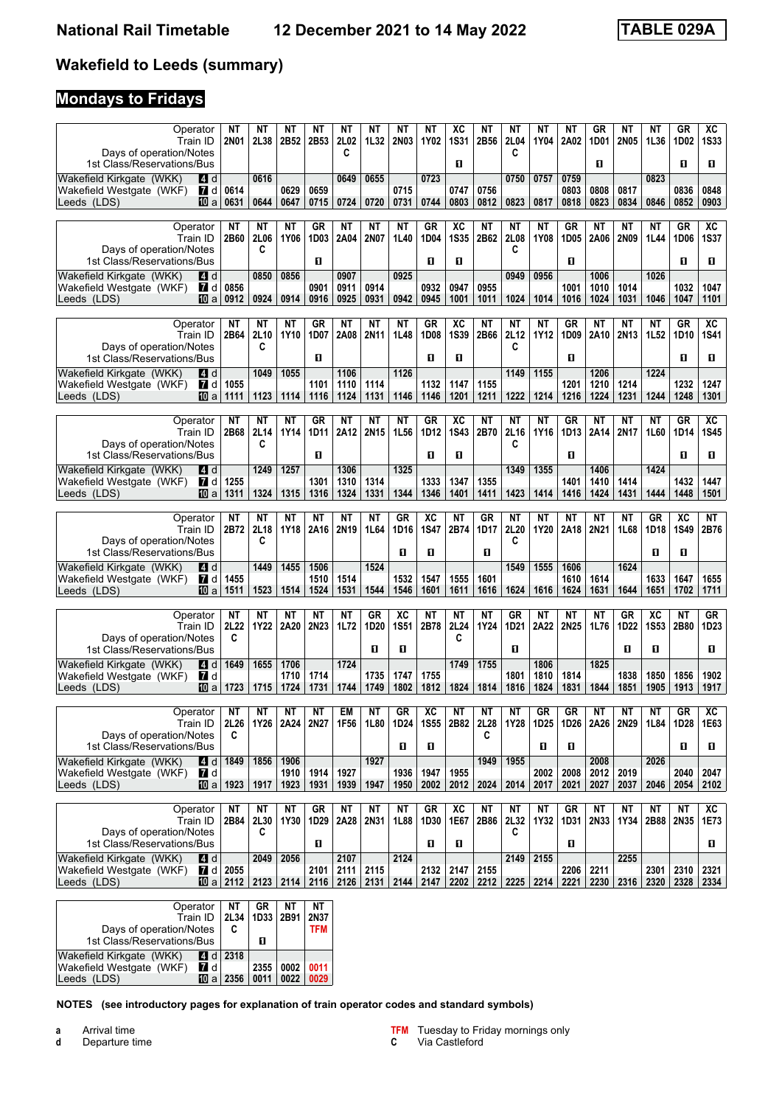#### **Wakefield to Leeds (summary)**

#### **Mondays to Fridays**

| Operator<br>Train ID                                                       | NΤ<br><b>2N01</b> | NΤ<br>2L38       | NΤ<br>2B52        | NΤ<br>2B53         | NΤ<br>2L02        | NΤ<br>1L32        | ΝT<br>2N03             | ΝT<br>1Y02       | ХC<br><b>1S31</b> | NΤ<br>2B56   | ΝT<br>2L04       | NΤ<br>1Y04         | NΤ<br>2A02        | GR<br>1D01             | NΤ<br>2N05        | NΤ<br>1L36       | GR<br>1D02             | ХC<br><b>1S33</b> |
|----------------------------------------------------------------------------|-------------------|------------------|-------------------|--------------------|-------------------|-------------------|------------------------|------------------|-------------------|--------------|------------------|--------------------|-------------------|------------------------|-------------------|------------------|------------------------|-------------------|
| Days of operation/Notes<br>1st Class/Reservations/Bus                      |                   |                  |                   |                    | C                 |                   |                        |                  | п                 |              | C                |                    |                   | п                      |                   |                  | О                      | O.                |
| Wakefield Kirkgate (WKK)<br>4 d<br>Wakefield Westgate (WKF)<br>7 d         | 0614              | 0616             | 0629              | 0659               | 0649              | 0655              | 0715                   | 0723             | 0747              | 0756         | 0750             | 0757               | 0759<br>0803      | 0808                   | 0817              | 0823             | 0836                   | 0848              |
| ЮЮ а<br>Leeds (LDS)                                                        | 0631              | 0644             | 0647              | 0715               | 0724              | 0720              | 0731                   | 0744             | 0803              | 0812         | 0823             | 0817               | 0818              | 0823                   | 0834              | 0846             | 0852                   | 0903              |
| Operator                                                                   | ΝT<br>2B60        | NΤ<br>2L06       | <b>NT</b><br>1Y06 | GR<br>1D03         | <b>NT</b><br>2A04 | <b>NT</b><br>2N07 | <b>NT</b><br>1L40      | GR<br>1D04       | XC<br><b>1S35</b> | ΝT<br>2B62   | ΝT<br>2L08       | NΤ<br>1Y08         | <b>GR</b><br>1D05 | <b>NT</b><br>2A06      | <b>NT</b><br>2N09 | NΤ<br>1L44       | GR<br>1D <sub>06</sub> | XC<br><b>1S37</b> |
| Train ID<br>Days of operation/Notes<br>1st Class/Reservations/Bus          |                   | C                |                   | 0                  |                   |                   |                        | п                |                   |              | C                |                    | $\mathbf{u}$      |                        |                   |                  | O.                     |                   |
| Wakefield Kirkgate (WKK)<br>4 d                                            |                   | 0850             | 0856              |                    | 0907              |                   | 0925                   |                  | П                 |              | 0949             | 0956               |                   | 1006                   |                   | 1026             |                        | П                 |
| <b>7</b> d<br>Wakefield Westgate (WKF)<br>100 a<br>Leeds (LDS)             | 0856<br>0912      | 0924             | 0914              | 0901<br>0916       | 0911<br>0925      | 0914<br>0931      | 0942                   | 0932<br>0945     | 0947<br>1001      | 0955<br>1011 | 1024             | 1014               | 1001<br>1016      | 1010<br>1024           | 1014<br>1031      | 1046             | 1032<br>1047           | 1047<br>1101      |
| Operator                                                                   | NΤ                | <b>NT</b>        | <b>NT</b>         | GR                 | <b>NT</b>         | <b>NT</b>         | <b>NT</b>              | GR               | XC                | NΤ           | <b>NT</b>        | <b>NT</b>          | <b>GR</b>         | <b>NT</b>              | <b>NT</b>         | <b>NT</b>        | <b>GR</b>              | <b>XC</b>         |
| Train ID                                                                   | 2B64              | 2L <sub>10</sub> | 1Y10              | 1D07               | 2A08              | 2N11              | 1L48                   | 1D <sub>08</sub> | <b>1S39</b>       | 2B66         | 2L12             | 1Y12               | 1D09              | 2A10                   | 2N13              | 1L <sub>52</sub> | 1D <sub>10</sub>       | <b>1S41</b>       |
| Days of operation/Notes<br>1st Class/Reservations/Bus                      |                   | C                |                   | О                  |                   |                   |                        | п                | п                 |              | C                |                    | п                 |                        |                   |                  | O                      | O                 |
| Wakefield Kirkgate (WKK)<br>L4 d<br>Wakefield Westgate (WKF)<br>7 d        | 1055              | 1049             | 1055              | 1101               | 1106<br>1110      | 1114              | 1126                   | 1132             | 1147              | 1155         | 1149             | 1155               | 1201              | 1206<br>1210           | 1214              | 1224             | 1232                   | 1247              |
| 100 a<br>Leeds (LDS)                                                       | 1111              | 1123             | 1114              | 1116               | 1124              | 1131              | 1146                   | 1146             | 1201              | 1211         | 1222             | 1214               | 1216              | 1224                   | 1231              | 1244             | 1248                   | 1301              |
| Operator                                                                   | NΤ                | NΤ               | <b>NT</b>         | GR                 | <b>NT</b>         | <b>NT</b>         | <b>NT</b>              | <b>GR</b>        | <b>XC</b>         | NΤ           | <b>NT</b>        | <b>NT</b>          | GR                | <b>NT</b>              | <b>NT</b>         | <b>NT</b>        | <b>GR</b>              | <b>XC</b>         |
| Train ID<br>Days of operation/Notes                                        | 2B68              | 2L14<br>C        | 1Y14              | 1D11               | 2A12              | 2N15              | 1L56                   | 1D12             | <b>1S43</b>       | 2B70         | 2L16<br>C        | 1Y16               | 1D13              | 2A14                   | 2N17              | 1L60             | 1D14                   | <b>1S45</b>       |
| 1st Class/Reservations/Bus                                                 |                   |                  |                   | О                  |                   |                   |                        | п                | п                 |              |                  |                    | п                 |                        |                   |                  | п                      | O.                |
| Wakefield Kirkgate (WKK)<br>41 d<br>Wakefield Westgate (WKF)<br>7 d        | 1255              | 1249             | 1257              | 1301               | 1306<br>1310      | 1314              | 1325                   | 1333             | 1347              | 1355         | 1349             | 1355               | 1401              | 1406<br>1410           | 1414              | 1424             | 1432                   | 1447              |
| ЮЮ а<br>Leeds (LDS)                                                        | 1311              | 1324             | 1315              | 1316               | 1324              | 1331              | 1344                   | 1346             | 1401              | 1411         | 1423             | 1414               | 1416              | 1424                   | 1431              | 1444             | 1448                   | 1501              |
| Operator                                                                   | NΤ                | <b>NT</b>        | <b>NT</b>         | <b>NT</b>          | <b>NT</b>         | <b>NT</b>         | GR                     | XC               | <b>NT</b>         | GR           | <b>NT</b>        | <b>NT</b>          | <b>NT</b>         | $\overline{\text{NT}}$ | <b>NT</b>         | GR               | XC                     | <b>NT</b>         |
| Train ID<br>Days of operation/Notes                                        | 2B72              | 2L18<br>C        | 1Y18              | 2A16               | 2N19              | 1L64              | 1D16                   | <b>1S47</b>      | 2B74              | 1D17         | 2L20<br>C        | 1Y20               | 2A18              | 2N21                   | 1L68              | 1D18             | 1S49                   | 2B76              |
| 1st Class/Reservations/Bus                                                 |                   |                  |                   |                    |                   |                   | п                      | 0                |                   | п            |                  |                    |                   |                        |                   | п                | O.                     |                   |
| Wakefield Kirkgate (WKK)<br>4 d<br>Wakefield Westgate (WKF)<br>7 d         | 1455              | 1449             | 1455              | 1506<br>1510       | 1514              | 1524              | 1532                   | 1547             | 1555              | 1601         | 1549             | 1555               | 1606<br>1610      | 1614                   | 1624              | 1633             | 1647                   | 1655              |
| 100 a<br>Leeds (LDS)                                                       | 1511              | 1523             | 1514              | 1524               | 1531              | 1544              | 1546                   | 1601             | 1611              | 1616         | 1624             | 1616               | 1624              | 1631                   | 1644              | 1651             | 1702                   | 1711              |
| Operator                                                                   | NΤ                | NΤ               | NΤ                | <b>NT</b>          | NΤ                | GR                | $\overline{\text{xc}}$ | ΝT               | NΤ                | NΤ           | GR               | NΤ                 | <b>NT</b>         | NΤ                     | GR                | XC               | NΤ                     | GR                |
| Train ID<br>Days of operation/Notes                                        | 2L22<br>C         | 1Y22             | 2A20              | 2N23               | 1L72              | 1D <sub>20</sub>  | <b>1S51</b>            | 2B78             | 2L24<br>C         | 1Y24         | 1D <sub>21</sub> | 2A22               | 2N25              | 1L76                   | 1D22              | <b>1S53</b>      | 2B80                   | 1D <sub>23</sub>  |
| 1st Class/Reservations/Bus                                                 |                   |                  |                   |                    |                   | п                 | п                      |                  |                   |              | O                |                    |                   |                        | п                 | О                |                        | 0                 |
| Wakefield Kirkgate (WKK)<br>14 d<br><b>7</b> d<br>Wakefield Westgate (WKF) | 1649              | 1655             | 1706<br>1710      | 1714               | 1724              | 1735              | 1747                   | 1755             | 1749              | 1755         | 1801             | 1806<br>1810       | 1814              | 1825                   | 1838              | 1850             | 1856                   | 1902              |
| <b>而</b> a<br>Leeds (LDS)                                                  | 1723              | 1715             | 1724              | 1731               | 1744              | 1749              | 1802                   | 1812             | 1824              | 1814         | 1816             | 1824               | 1831              | 1844                   | 1851              | 1905             | 1913                   | 1917              |
| Operator                                                                   | ΝT                | ΝT               | ΝT                | ΝT                 | EM                | ΝT                | GR                     | XC               | NΤ                | ΝT           | ΝT               | GR                 | GR                | NΤ                     | ΝT                | NΤ               | GR                     | XC                |
| Train ID<br>Days of operation/Notes                                        | 2L26<br>C         | 1Y26             | 2A24              | 2N27               | 1F56              | 1L80              | 1D24                   | <b>1S55</b>      | 2B82              | 2L28<br>C    | 1Y28             | 1D25               | 1D26              | 2A26                   | 2N29              | 1L84             | 1D28                   | 1E63              |
| 1st Class/Reservations/Bus                                                 |                   |                  |                   |                    |                   |                   | п                      | п                |                   |              |                  | $\boldsymbol{\Pi}$ | п                 |                        |                   |                  | O.                     | П                 |
| Wakefield Kirkgate (WKK)<br>4 d<br>Wakefield Westgate (WKF)<br>7 d         | 1849              | 1856             | 1906<br>1910      | 1914               | 1927              | 1927              | 1936                   | 1947             | 1955              | 1949         | 1955             | 2002               | 2008              | 2008<br>2012           | 2019              | 2026             | 2040                   | 2047              |
| 10 al<br>Leeds (LDS)                                                       | 1923              | 1917             | 1923              | 1931               | 1939              | 1947              | 1950                   | 2002             | 2012              | 2024         | 2014             | 2017               | 2021              | 2027                   | 2037              | 2046             | 2054                   | 2102              |
| Operator                                                                   | ΝT                | <b>NT</b>        | <b>NT</b>         | <b>GR</b>          | $\overline{NT}$   | <b>NT</b>         | <b>NT</b>              | GR               | $\overline{AC}$   | <b>NT</b>    | <b>NT</b>        | <b>NT</b>          | <b>GR</b>         | $N$ T                  | $\overline{NT}$   | <b>NT</b>        | <b>NT</b>              | XC                |
| Train ID<br>Days of operation/Notes                                        | 2B84              | 2L30<br>C        | 1Y30              | 1D29               | 2A28              | 2N31              | 1L88                   | 1D30             | 1E67              | 2B86         | 2L32<br>C        | <b>1Y32</b>        | 1D31              | 2N33                   | 1Y34              | 2B88             | 2N35                   | 1E73              |
| 1st Class/Reservations/Bus                                                 |                   |                  |                   | $\mathbf{u}$       |                   |                   |                        | п                | п                 |              |                  |                    | $\mathbf{u}$      |                        |                   |                  |                        | П                 |
| Wakefield Kirkgate (WKK)<br>4d<br>Wakefield Westgate (WKF)<br>7 d          | 2055              | 2049             | 2056              | 2101               | 2107<br>2111      | 2115              | 2124                   | 2132             | 2147              | 2155         | 2149             | 2155               | 2206              | 2211                   | 2255              | 2301             | 2310                   | 2321              |
| Leeds (LDS)<br>100 al                                                      | 2112              | 2123             | 2114              | 2116               | 2126              | 2131              | 2144                   | 2147             | 2202              | 2212         |                  | $2225$   2214      | 2221              | 2230                   | 2316              | 2320             | 2328                   | 2334              |
| Operator                                                                   | ΝT                | GR               | <b>NT</b>         | <b>NT</b>          |                   |                   |                        |                  |                   |              |                  |                    |                   |                        |                   |                  |                        |                   |
| Train ID<br>Days of operation/Notes                                        | 2L34<br>C         | 1D33             | 2B91              | 2N37<br><b>TFM</b> |                   |                   |                        |                  |                   |              |                  |                    |                   |                        |                   |                  |                        |                   |
| 1st Class/Reservations/Bus                                                 |                   | 0                |                   |                    |                   |                   |                        |                  |                   |              |                  |                    |                   |                        |                   |                  |                        |                   |

**NOTES (see introductory pages for explanation of train operator codes and standard symbols)**

**a** Arrival time<br>**d** Departure t

 $Leeds$  (LDS)

**d** Departure time

Wakefield Kirkgate (WKK) **z d 2318**<br>Wakefield Westgate (WKF) **z** d

Wakefield Westgate (WKF) **or detect on the details of the MS**<br>Leeds (LDS) **in a 2356 0011 0022 0029** 

**TFM** Tuesday to Friday mornings only<br>**C** Via Castleford Via Castleford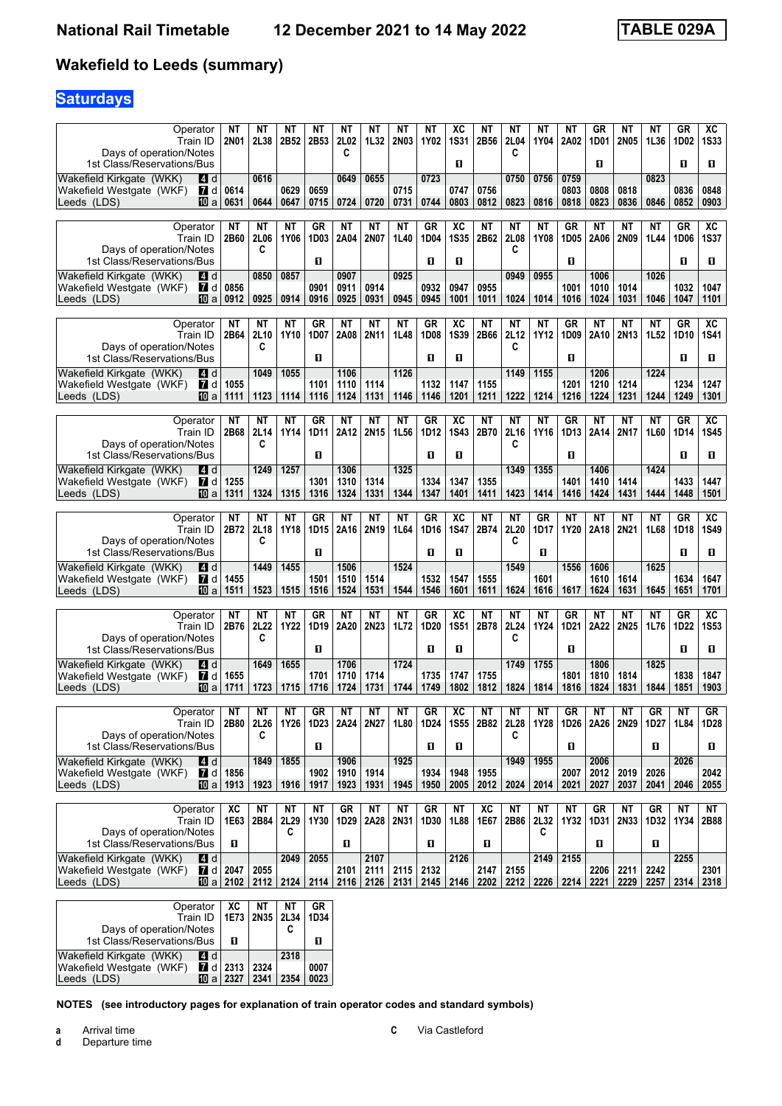#### **Wakefield to Leeds (summary)**

#### **Saturdays**

| Operator<br>Train ID                                                      | NΤ<br><b>2N01</b> | NΤ<br>2L38 | NΤ<br>2B52        | NΤ<br>2B53   | NΤ<br>2L02        | ΝT<br>1L32   | ΝT<br>2N03   | ΝT<br>1Y02   | ХC<br><b>1S31</b> | NΤ<br>2B56   | NΤ<br>2L04 | NΤ<br>1Y04        | NΤ<br>2A02   | GR<br>1D01        | NΤ<br>2N05        | NΤ<br>1L36   | GR<br>1D02        | XC<br><b>1S33</b> |
|---------------------------------------------------------------------------|-------------------|------------|-------------------|--------------|-------------------|--------------|--------------|--------------|-------------------|--------------|------------|-------------------|--------------|-------------------|-------------------|--------------|-------------------|-------------------|
| Days of operation/Notes                                                   |                   |            |                   |              | C                 |              |              |              |                   |              | C          |                   |              |                   |                   |              |                   |                   |
| 1st Class/Reservations/Bus                                                |                   |            |                   |              |                   |              |              |              | 0                 |              |            |                   |              | п                 |                   |              | O                 | O.                |
| Wakefield Kirkgate (WKK)<br>4 d                                           |                   | 0616       |                   |              | 0649              | 0655         |              | 0723         |                   |              | 0750       | 0756              | 0759         |                   |                   | 0823         |                   |                   |
| 7 d<br>Wakefield Westgate (WKF)<br><b>M</b> a<br>Leeds (LDS)              | 0614<br>0631      | 0644       | 0629<br>0647      | 0659<br>0715 | 0724              | 0720         | 0715<br>0731 | 0744         | 0747<br>0803      | 0756<br>0812 | 0823       | 0816              | 0803<br>0818 | 0808<br>0823      | 0818<br>0836      | 0846         | 0836<br>0852      | 0848<br>0903      |
|                                                                           |                   |            |                   |              |                   |              |              |              |                   |              |            |                   |              |                   |                   |              |                   |                   |
| Operator                                                                  | NΤ                | ΝT         | ΝT                | GR           | NΤ                | ΝT           | NΤ           | GR           | ХC                | NΤ           | NΤ         | NΤ                | GR           | NΤ                | NΤ                | NΤ           | GR                | <b>XC</b>         |
| Train ID<br>Days of operation/Notes                                       | 2B60              | 2L06<br>C  | 1Y06              | 1D03         | 2A04              | 2N07         | 1L40         | 1D04         | <b>1S35</b>       | 2B62         | 2L08<br>C  | 1Y08              | 1D05         | 2A06              | 2N09              | 1L44         | 1D <sub>06</sub>  | <b>1S37</b>       |
| 1st Class/Reservations/Bus                                                |                   |            |                   | O            |                   |              |              | п            | 0                 |              |            |                   | п            |                   |                   |              | O                 | п                 |
| Wakefield Kirkgate (WKK)<br>4 d                                           |                   | 0850       | 0857              |              | 0907              |              | 0925         |              |                   |              | 0949       | 0955              |              | 1006              |                   | 1026         |                   |                   |
| 7 d<br>Wakefield Westgate (WKF)                                           | 0856              |            |                   | 0901         | 0911              | 0914         |              | 0932         | 0947              | 0955         |            |                   | 1001         | 1010              | 1014              |              | 1032              | 1047              |
| ЮЮ а<br>Leeds (LDS)                                                       | 0912              | 0925       | 0914              | 0916         | 0925              | 0931         | 0945         | 0945         | 1001              | 1011         | 1024       | 1014              | 1016         | 1024              | 1031              | 1046         | 1047              | 1101              |
| Operator                                                                  | NΤ                | <b>NT</b>  | <b>NT</b>         | GR           | <b>NT</b>         | <b>NT</b>    | <b>NT</b>    | GR           | XC                | <b>NT</b>    | <b>NT</b>  | NT                | GR           | NT                | NT                | <b>NT</b>    | GR                | XC                |
| Train ID                                                                  | 2B64              | 2L10       | 1Y10              | 1D07         | 2A08              | 2N11         | 1L48         | 1D08         | <b>1S39</b>       | 2B66         | 2L12       | 1Y12              | 1D09         | 2A10              | 2N13              | 1L52         | 1D <sub>10</sub>  | <b>1S41</b>       |
| Days of operation/Notes<br>1st Class/Reservations/Bus                     |                   | C          |                   | $\mathbf{u}$ |                   |              |              | п            | 0                 |              | C          |                   | $\mathbf{u}$ |                   |                   |              | О                 | O.                |
| Wakefield Kirkgate (WKK)<br>41 d                                          |                   | 1049       | 1055              |              | 1106              |              | 1126         |              |                   |              | 1149       | 1155              |              | 1206              |                   | 1224         |                   |                   |
| Wakefield Westgate (WKF)<br>7<br>d                                        | 1055              |            |                   | 1101         | 1110              | 1114         |              | 1132         | 1147              | 1155         |            |                   | 1201         | 1210              | 1214              |              | 1234              | 1247              |
| 100 a<br>Leeds (LDS)                                                      | 1111              | 1123       | 1114              | 1116         | 1124              | 1131         | 1146         | 1146         | 1201              | 1211         | 1222       | 1214              | 1216         | 1224              | 1231              | 1244         | 1249              | 1301              |
| Operator                                                                  | NΤ                | <b>NT</b>  | <b>NT</b>         | GR           | <b>NT</b>         | <b>NT</b>    | <b>NT</b>    | GR           | XC                | <b>NT</b>    | <b>NT</b>  | NT                | GR           | <b>NT</b>         | <b>NT</b>         | <b>NT</b>    | <b>GR</b>         | <b>XC</b>         |
| Train ID                                                                  | 2B68              | 2L14       | 1Y14              | 1D11         | 2A12              | 2N15         | 1L56         | 1D12         | <b>1S43</b>       | 2B70         | 2L16       | 1Y16              | 1D13         | 2A14              | 2N17              | 1L60         | 1D14              | <b>1S45</b>       |
| Days of operation/Notes                                                   |                   | C          |                   | O            |                   |              |              | O            | 0                 |              | C          |                   | О            |                   |                   |              | O                 | П                 |
| 1st Class/Reservations/Bus<br>Wakefield Kirkgate (WKK)<br>4 d             |                   | 1249       | 1257              |              | 1306              |              | 1325         |              |                   |              | 1349       | 1355              |              | 1406              |                   | 1424         |                   |                   |
| 7 d<br>Wakefield Westgate (WKF)                                           | 1255              |            |                   | 1301         | 1310              | 1314         |              | 1334         | 1347              | 1355         |            |                   | 1401         | 1410              | 1414              |              | 1433              | 1447              |
| 100 a<br>Leeds (LDS)                                                      | 1311              | 1324       | 1315              | 1316         | 1324              | 1331         | 1344         | 1347         | 1401              | 1411         | 1423       | 1414              | 1416         | 1424              | 1431              | 1444         | 1448              | 1501              |
| Operator                                                                  | NΤ                | NΤ         | NΤ                | GR           | <b>NT</b>         | NΤ           | ΝT           | GR           | ХC                | ΝT           | NΤ         | GR                | <b>NT</b>    | NT                | NΤ                | NΤ           | <b>GR</b>         | $\overline{AC}$   |
| Train ID                                                                  | 2B72              | 2L18       | 1Y18              | 1D15         | 2A16              | 2N19         | 1L64         | 1D16         | <b>1S47</b>       | 2B74         | 2L20       | 1D17              | 1Y20         | 2A18              | 2N21              | 1L68         | 1D18              | <b>1S49</b>       |
| Days of operation/Notes                                                   |                   | C          |                   |              |                   |              |              |              |                   |              | C          |                   |              |                   |                   |              |                   |                   |
| 1st Class/Reservations/Bus                                                |                   | 1449       |                   | O            |                   |              |              | п            | п                 |              |            | п                 |              |                   |                   |              | O                 | O.                |
| Wakefield Kirkgate (WKK)<br>4 d<br>Wakefield Westgate (WKF)<br>7 d        | 1455              |            | 1455              | 1501         | 1506<br>1510      | 1514         | 1524         | 1532         | 1547              | 1555         | 1549       | 1601              | 1556         | 1606<br>1610      | 1614              | 1625         | 1634              | 1647              |
| ЮЮ а<br>Leeds (LDS)                                                       | 1511              | 1523       | 1515              | 1516         | 1524              | 1531         | 1544         | 1546         | 1601              | 1611         | 1624       | 1616              | 1617         | 1624              | 1631              | 1645         | 1651              | 1701              |
|                                                                           |                   |            |                   | GR           | <b>NT</b>         | <b>NT</b>    |              | <b>GR</b>    | XC                |              | <b>NT</b>  | <b>NT</b>         | GR           | <b>NT</b>         | <b>NT</b>         |              |                   | $\overline{AC}$   |
| Operator<br>Train ID                                                      | NΤ<br>2B76        | NΤ<br>2L22 | NΤ<br>1Y22        | 1D19         | 2A20              | 2N23         | ΝT<br>1L72   | 1D20         | <b>1S51</b>       | NΤ<br>2B78   | 2L24       | 1Y24              | 1D21         | 2A22              | 2N25              | NΤ<br>1L76   | GR<br>1D22        | <b>1S53</b>       |
| Days of operation/Notes                                                   |                   | C          |                   |              |                   |              |              |              |                   |              | C          |                   |              |                   |                   |              |                   |                   |
| 1st Class/Reservations/Bus                                                |                   |            |                   | $\mathbf{u}$ |                   |              |              | п            | 0                 |              |            |                   | $\mathbf{u}$ |                   |                   |              | О                 | п                 |
| Wakefield Kirkgate (WKK)<br>4 d<br><b>7</b> d<br>Wakefield Westgate (WKF) |                   | 1649       | 1655              | 1701         | 1706<br>1710      | 1714         | 1724         | 1735         |                   | 1755         | 1749       | 1755              | 1801         | 1806              | 1814              | 1825         | 1838              | 1847              |
| 10 a<br>Leeds (LDS)                                                       | 1655<br>1711      | 1723       | 1715              | 1716         | 1724              | 1731         | 1744         | 1749         | 1747<br>1802      | 1812         | 1824       | 1814              | 1816         | 1810<br>1824      | 1831              | 1844         | 1851              | 1903              |
|                                                                           |                   |            |                   |              |                   |              |              |              |                   |              |            |                   |              |                   |                   |              |                   |                   |
| Operator                                                                  | ΝT                | <b>NT</b>  | <b>NT</b><br>1Y26 | GR           | <b>NT</b><br>2A24 | ΝT<br>2N27   | <b>NT</b>    | GR           | XC                | <b>NT</b>    | <b>NT</b>  | <b>NT</b><br>1Y28 | GR           | <b>NT</b><br>2A26 | <b>NT</b><br>2N29 | GR           | <b>NT</b><br>1L84 | GR                |
| Train ID<br>Days of operation/Notes                                       | 2B80              | 2L26<br>C  |                   | 1D23         |                   |              | 1L80         | 1D24         | <b>1S55</b>       | 2B82         | 2L28<br>C  |                   | 1D26         |                   |                   | 1D27         |                   | 1D28              |
| 1st Class/Reservations/Bus                                                |                   |            |                   | O            |                   |              |              | п            | П                 |              |            |                   | O            |                   |                   | п            |                   | 0                 |
| Wakefield Kirkgate (WKK)<br>4 d                                           |                   | 1849       | 1855              |              | 1906              |              | 1925         |              |                   |              | 1949       | 1955              |              | 2006              |                   |              | 2026              |                   |
| Wakefield Westgate (WKF)<br>7 d<br>Leeds (LDS)<br>100 a                   | 1856<br>1913      | 1923       | 1916              | 1902<br>1917 | 1910<br>1923      | 1914<br>1931 | 1945         | 1934<br>1950 | 1948<br>2005      | 1955<br>2012 |            | 2024 2014         | 2007<br>2021 | 2012<br>2027      | 2019<br>2037      | 2026<br>2041 | 2046              | 2042<br>2055      |
|                                                                           |                   |            |                   |              |                   |              |              |              |                   |              |            |                   |              |                   |                   |              |                   |                   |
| Operator                                                                  | XC                | <b>NT</b>  | ΝT                | <b>NT</b>    | GR                | <b>NT</b>    | <b>NT</b>    | GR           | <b>NT</b>         | XC           | <b>NT</b>  | <b>NT</b>         | <b>NT</b>    | <b>GR</b>         | NΤ                | <b>GR</b>    | <b>NT</b>         | <b>NT</b>         |
| Train ID<br>Days of operation/Notes                                       | 1E63              | 2B84       | 2L29<br>C         | 1Y30         | 1D29              | 2A28         | 2N31         | 1D30         | 1L88              | 1E67         | 2B86       | 2L32<br>C         | 1Y32         | 1D31              | 2N33              | 1D32         | 1Y34              | 2B88              |
| 1st Class/Reservations/Bus                                                | 0                 |            |                   |              | п                 |              |              | п            |                   | п            |            |                   |              | п                 |                   | п            |                   |                   |
| Wakefield Kirkgate (WKK)<br>4 d                                           |                   |            | 2049              | 2055         |                   | 2107         |              |              | 2126              |              |            | 2149              | 2155         |                   |                   |              | 2255              |                   |
| Wakefield Westgate (WKF)<br>7 d                                           | 2047              | 2055       |                   |              | 2101              | 2111         | 2115         | 2132         |                   | 2147         | 2155       |                   |              | 2206<br>2221      | 2211<br>2229      | 2242         |                   | 2301              |
| Leeds (LDS)<br>100 al                                                     | 2102              | 2112       | 2124              | 2114         | 2116              | 2126         | 2131         | 2145         | 2146              | 2202         | 2212       | 2226              | 2214         |                   |                   | 2257         | 2314              | 2318              |
|                                                                           |                   |            |                   |              |                   |              |              |              |                   |              |            |                   |              |                   |                   |              |                   |                   |
| Operator                                                                  | <b>XC</b>         | <b>NT</b>  | <b>NT</b>         | GR           |                   |              |              |              |                   |              |            |                   |              |                   |                   |              |                   |                   |
| Train ID                                                                  | 1E73              | 2N35       | 2L34              | 1D34         |                   |              |              |              |                   |              |            |                   |              |                   |                   |              |                   |                   |
| Days of operation/Notes                                                   | П                 |            | C                 | $\mathbf{u}$ |                   |              |              |              |                   |              |            |                   |              |                   |                   |              |                   |                   |
| 1st Class/Reservations/Bus<br>Wakefield Kirkgate (WKK)<br>ZI d            |                   |            | 2318              | 0007         |                   |              |              |              |                   |              |            |                   |              |                   |                   |              |                   |                   |

**NOTES (see introductory pages for explanation of train operator codes and standard symbols)**

 Leeds (LDS) a **2327 2341 2354 0023**

**a** Arrival time<br>**d** Departure t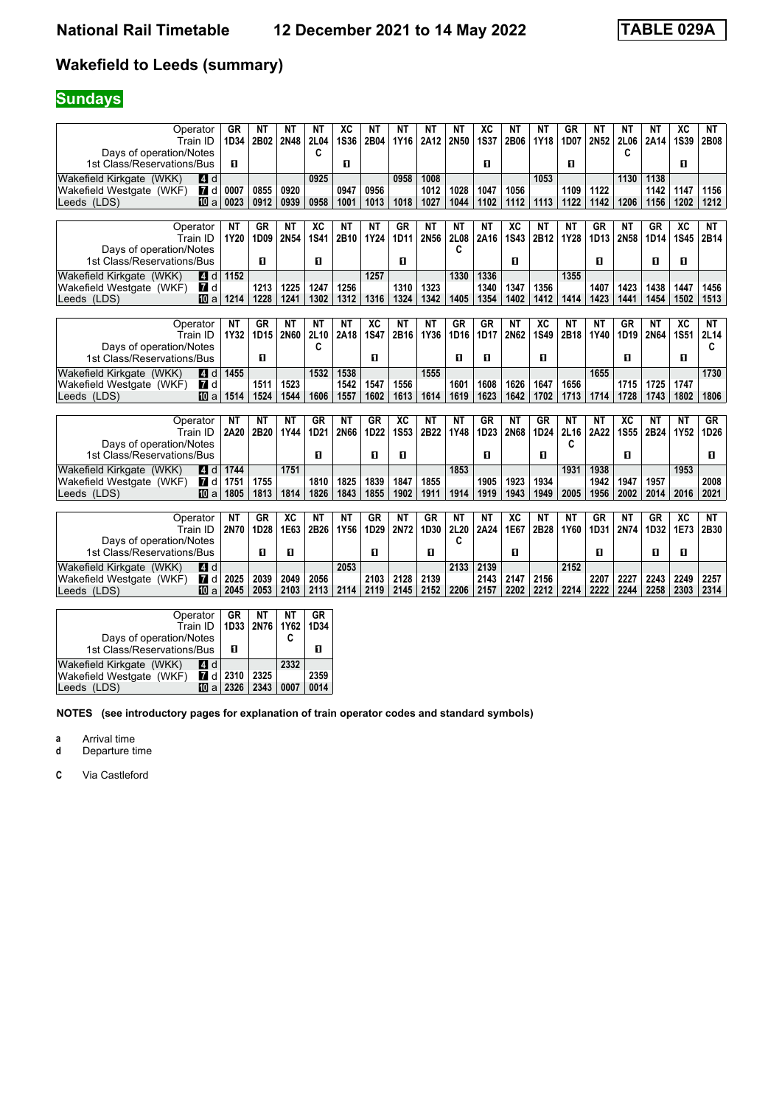### **Wakefield to Leeds (summary)**

### **Sundays**

| Operator<br>Train ID                                                            | GR<br>1D34        | ΝT<br>2B02        | NΤ<br>2N48        | ΝT<br>2L04        | XC<br><b>1S36</b> | NΤ<br>2B04        | <b>NT</b><br>1Y16        | ΝT<br>2A12        | NΤ<br>2N50        | ХC<br><b>1S37</b> | ΝT<br>2B06               | <b>NT</b><br>1Y18 | <b>GR</b><br>1D07 | NΤ<br>2N52        | NΤ<br>2L06               | <b>NT</b><br>2A14 | XC<br><b>1S39</b> | NT<br>2B08                    |
|---------------------------------------------------------------------------------|-------------------|-------------------|-------------------|-------------------|-------------------|-------------------|--------------------------|-------------------|-------------------|-------------------|--------------------------|-------------------|-------------------|-------------------|--------------------------|-------------------|-------------------|-------------------------------|
| Days of operation/Notes                                                         |                   |                   |                   | C                 |                   |                   |                          |                   |                   |                   |                          |                   |                   |                   | C                        |                   |                   |                               |
| 1st Class/Reservations/Bus                                                      | 0                 |                   |                   |                   | $\mathbf{u}$      |                   |                          |                   |                   | $\mathbf{u}$      |                          |                   | п                 |                   |                          |                   | п                 |                               |
| Wakefield Kirkgate (WKK)<br>ZI d                                                |                   |                   |                   | 0925              |                   |                   | 0958                     | 1008              |                   |                   |                          | 1053              |                   |                   | 1130                     | 1138              |                   |                               |
| 7<br>d<br>Wakefield Westgate (WKF)                                              | 0007              | 0855              | 0920              |                   | 0947              | 0956              |                          | 1012              | 1028              | 1047              | 1056                     |                   | 1109              | 1122              |                          | 1142              | 1147              | 1156                          |
| <b>M</b> a<br>Leeds (LDS)                                                       | 0023              | 0912              | 0939              | 0958              | 1001              | 1013              | 1018                     | 1027              | 1044              | 1102              | 1112                     | 1113              | 1122              | 1142              | 1206                     | 1156              | 1202              | 1212                          |
| Operator                                                                        | <b>NT</b>         | <b>GR</b>         | <b>NT</b>         | XC                | <b>NT</b>         | <b>NT</b>         | <b>GR</b>                | <b>NT</b>         | <b>NT</b>         | <b>NT</b>         | XC                       | <b>NT</b>         | <b>NT</b>         | <b>GR</b>         | <b>NT</b>                | <b>GR</b>         | XC                | <b>NT</b>                     |
| Train ID                                                                        | 1Y20              | 1D <sub>09</sub>  | 2N54              | <b>1S41</b>       | 2B10              | <b>1Y24</b>       | 1D11                     | 2N56              | 2L08              | 2A16              | <b>1S43</b>              | 2B12              | <b>1Y28</b>       | 1D13              | 2N58                     | 1D14              | <b>1S45</b>       | 2B14                          |
| Days of operation/Notes                                                         |                   |                   |                   |                   |                   |                   |                          |                   | c                 |                   |                          |                   |                   |                   |                          |                   |                   |                               |
| 1st Class/Reservations/Bus                                                      |                   | п                 |                   | п                 |                   |                   | п                        |                   |                   |                   | п                        |                   |                   | п                 |                          | п                 | 0                 |                               |
| Wakefield Kirkgate (WKK)<br><b>4d</b><br>Wakefield Westgate (WKF)<br><b>7</b> d | 1152              | 1213              | 1225              | 1247              | 1256              | 1257              | 1310                     | 1323              | 1330              | 1336<br>1340      | 1347                     | 1356              | 1355              | 1407              | 1423                     | 1438              | 1447              | 1456                          |
| <b>M</b> a<br>Leeds (LDS)                                                       | 1214              | 1228              | 1241              | 1302              | 1312              | 1316              | 1324                     | 1342              | 1405              | 1354              | 1402                     | 1412              | 1414              | 1423              | 1441                     | 1454              | 1502              | 1513                          |
|                                                                                 |                   |                   |                   |                   |                   |                   |                          |                   |                   |                   |                          |                   |                   |                   |                          |                   |                   |                               |
| Operator                                                                        | <b>NT</b>         | GR                | <b>NT</b>         | <b>NT</b>         | <b>NT</b>         | XC                | <b>NT</b>                | <b>NT</b>         | <b>GR</b>         | <b>GR</b>         | <b>NT</b>                | XC                | <b>NT</b>         | <b>NT</b>         | <b>GR</b>                | <b>NT</b>         | XC                | <b>NT</b>                     |
| Train ID                                                                        | 1Y32              | 1D <sub>15</sub>  | 2N60              | 2L10<br>C         | 2A18              | <b>1S47</b>       | 2B16                     | 1Y36              | 1D16              | 1D17              | 2N62                     | 1S49              | 2B18              | 1Y40              | 1D19                     | 2N64              | <b>1S51</b>       | 2L14<br>C                     |
| Days of operation/Notes<br>1st Class/Reservations/Bus                           |                   | п                 |                   |                   |                   | п                 |                          |                   | п                 | 0                 |                          | п                 |                   |                   | п                        |                   | 0                 |                               |
| Wakefield Kirkgate (WKK)<br>4d                                                  | 1455              |                   |                   | 1532              | 1538              |                   |                          | 1555              |                   |                   |                          |                   |                   | 1655              |                          |                   |                   | 1730                          |
| <b>7</b> d<br>Wakefield Westgate (WKF)                                          |                   | 1511              | 1523              |                   | 1542              | 1547              | 1556                     |                   | 1601              | 1608              | 1626                     | 1647              | 1656              |                   | 1715                     | 1725              | 1747              |                               |
| <b>M</b> a<br>Leeds (LDS)                                                       | 1514              | 1524              | 1544              | 1606              | 1557              | 1602              | 1613                     | 1614              | 1619              | 1623              | 1642                     | 1702              | 1713              | 1714              | 1728                     | 1743              | 1802              | 1806                          |
|                                                                                 |                   |                   |                   |                   |                   |                   |                          |                   |                   |                   |                          |                   |                   |                   |                          |                   |                   |                               |
| Operator<br>Train ID                                                            | <b>NT</b><br>2A20 | <b>NT</b><br>2B20 | <b>NT</b><br>1Y44 | <b>GR</b><br>1D21 | <b>NT</b><br>2N66 | <b>GR</b><br>1D22 | <b>XC</b><br><b>1S53</b> | <b>NT</b><br>2B22 | <b>NT</b><br>1Y48 | <b>GR</b><br>1D23 | <b>NT</b><br><b>2N68</b> | <b>GR</b><br>1D24 | <b>NT</b><br>2L16 | <b>NT</b><br>2A22 | <b>XC</b><br><b>1S55</b> | <b>NT</b><br>2B24 | <b>NT</b><br>1Y52 | <b>GR</b><br>1D <sub>26</sub> |
| Days of operation/Notes                                                         |                   |                   |                   |                   |                   |                   |                          |                   |                   |                   |                          |                   | C                 |                   |                          |                   |                   |                               |
| 1st Class/Reservations/Bus                                                      |                   |                   |                   | п                 |                   | п                 | п                        |                   |                   | $\mathbf{u}$      |                          | $\mathbf{u}$      |                   |                   | п                        |                   |                   | O.                            |
| Wakefield Kirkgate (WKK)<br>4d                                                  | 1744              |                   | 1751              |                   |                   |                   |                          |                   | 1853              |                   |                          |                   | 1931              | 1938              |                          |                   | 1953              |                               |
| Wakefield Westgate (WKF)<br><b>7</b> d                                          | 1751              | 1755              |                   | 1810              | 1825              | 1839              | 1847                     | 1855              |                   | 1905              | 1923                     | 1934              |                   | 1942              | 1947                     | 1957              |                   | 2008                          |
| Leeds (LDS)<br><b>ID</b> a                                                      | 1805              | 1813              | 1814              | 1826              | 1843              | 1855              | 1902                     | 1911              | 1914              | 1919              | 1943                     | 1949              | 2005              | 1956              | 2002                     | 2014              | 2016              | 2021                          |
| Operator                                                                        | <b>NT</b>         | GR                | XC                | <b>NT</b>         | <b>NT</b>         | <b>GR</b>         | <b>NT</b>                | GR                | <b>NT</b>         | <b>NT</b>         | XC                       | <b>NT</b>         | <b>NT</b>         | <b>GR</b>         | <b>NT</b>                | <b>GR</b>         | XC                | <b>NT</b>                     |
| Train ID                                                                        | 2N70              | 1D28              | 1E63              | 2B26              | 1Y56              | 1D29              | 2N72                     | 1D30              | 2L20              | 2A24              | 1E67                     | 2B28              | 1Y60              | 1D31              | 2N74                     | 1D32              | 1E73              | 2B30                          |
| Days of operation/Notes                                                         |                   |                   |                   |                   |                   |                   |                          |                   | C                 |                   |                          |                   |                   |                   |                          |                   |                   |                               |
| 1st Class/Reservations/Bus                                                      |                   | п                 | 0                 |                   |                   | п                 |                          | 0                 |                   |                   | п                        |                   |                   | $\mathbf{u}$      |                          | п                 | 0                 |                               |
| Wakefield Kirkgate (WKK)<br>4 d                                                 |                   |                   | 2049              | 2056              | 2053              | 2103              | 2128                     | 2139              | 2133              | 2139              |                          |                   | 2152              | 2207              | 2227                     |                   | 2249              | 2257                          |
| Wakefield Westgate (WKF)<br><b>7</b> d<br>10 a<br>Leeds (LDS)                   | 2025<br>2045      | 2039<br>2053      | 2103              | 2113              | 2114              | 2119              | 2145                     | 2152              | 2206              | 2143<br>2157      | 2147<br>2202             | 2156<br>2212      | 2214              | 2222              | 2244                     | 2243<br>2258      | 2303              | 2314                          |
|                                                                                 |                   |                   |                   |                   |                   |                   |                          |                   |                   |                   |                          |                   |                   |                   |                          |                   |                   |                               |

| Operator                     |          | GR   | NT        | NΤ   | GR   |
|------------------------------|----------|------|-----------|------|------|
|                              | Train ID |      | 1D33 2N76 | 1Y62 | 1D34 |
| Days of operation/Notes      |          |      |           |      |      |
| 1st Class/Reservations/Bus   |          | п    |           |      | п    |
| Wakefield Kirkgate (WKK)     | L4I d    |      |           | 2332 |      |
| Wakefield Westgate (WKF) 7 d |          | 2310 | 2325      |      | 2359 |
| Leeds<br>(LDS)               | m a      | 2326 | 2343      |      | 0014 |

**NOTES (see introductory pages for explanation of train operator codes and standard symbols)**

**a** Arrival time

**d** Departure time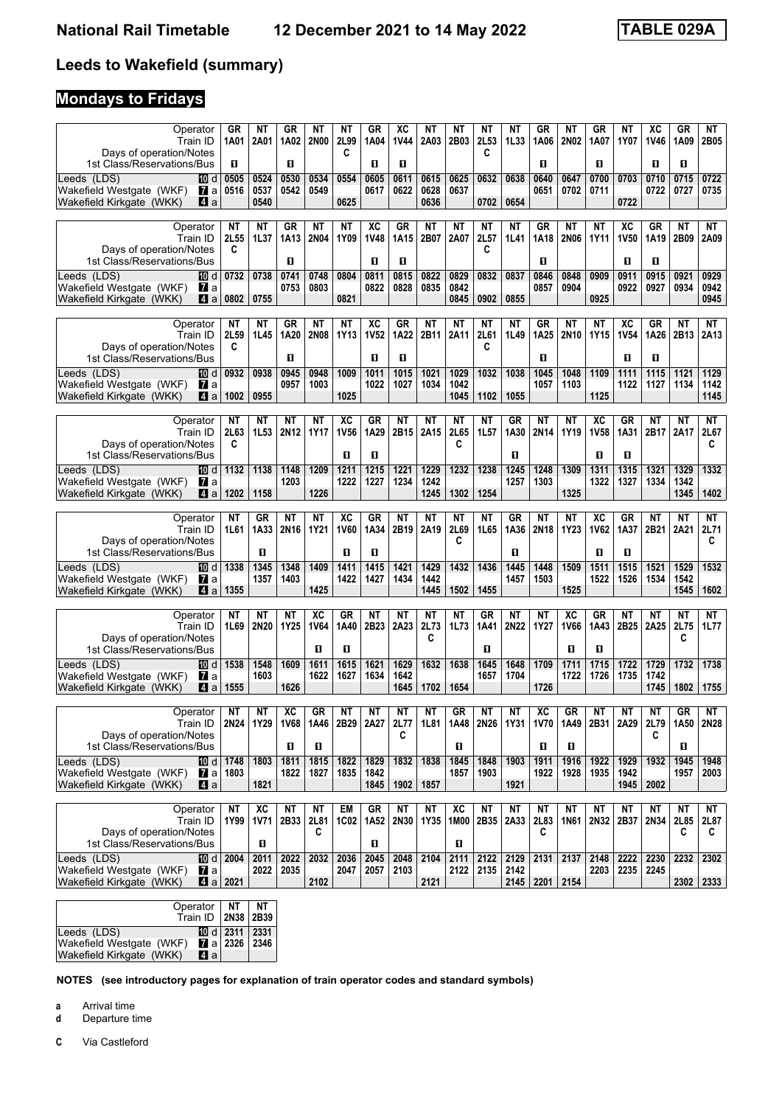#### **Leeds to Wakefield (summary)**

# **Mondays to Fridays**

| Operator<br>Train ID                                                               | GR<br>1A01   | <b>NT</b><br>2A01 | GR<br>1A02        | NΤ<br>2N00               | NΤ<br>2L99        | GR<br>1A04               | ХC<br><b>1V44</b> | ΝT<br>2A03   | ΝT<br>2B03      | ΝT<br>2L53     | NΤ<br>1L33        | GR<br>1A06        | NΤ<br>2N02                    | GR<br>1A07        | NΤ<br>1Y07               | XC<br>1V46   | GR<br>1A09   | NΤ<br>2B05   |
|------------------------------------------------------------------------------------|--------------|-------------------|-------------------|--------------------------|-------------------|--------------------------|-------------------|--------------|-----------------|----------------|-------------------|-------------------|-------------------------------|-------------------|--------------------------|--------------|--------------|--------------|
| Days of operation/Notes<br>1st Class/Reservations/Bus                              | П            |                   | $\mathbf{u}$      |                          | C                 | п                        | $\mathbf{u}$      |              |                 | C              |                   | $\mathbf{u}$      |                               | $\mathbf{u}$      |                          | $\mathbf{u}$ | $\mathbf{u}$ |              |
| Leeds (LDS)<br>10 d                                                                | 0505         | 0524              | 0530              | 0534                     | 0554              | 0605                     | 0611              | 0615         | 0625            | 0632           | 0638              | 0640              | 0647                          | 0700              | 0703                     | 0710         | 0715         | 0722         |
| $\mathbf{z}$ a<br>Wakefield Westgate (WKF)<br>Wakefield Kirkgate (WKK)<br>ZI a     | 0516         | 0537<br>0540      | 0542              | 0549                     | 0625              | 0617                     | 0622              | 0628<br>0636 | 0637            | 0702           | 0654              | 0651              | 0702                          | 0711              | 0722                     | 0722         | 0727         | 0735         |
|                                                                                    |              |                   |                   |                          |                   |                          |                   |              |                 |                |                   |                   |                               |                   |                          |              |              |              |
| Operator<br>Train ID                                                               | NΤ<br>2L55   | NΤ<br>1L37        | GR<br>1A13        | NΤ<br>2N04               | <b>NT</b><br>1Y09 | XC<br><b>1V48</b>        | GR<br>1A15        | ΝT<br>2B07   | NΤ<br>2A07      | NΤ<br>2L57     | NΤ<br>1L41        | GR<br>1A18        | <b>NT</b><br>2N06             | NΤ<br><b>1Y11</b> | XC<br><b>1V50</b>        | GR<br>1A19   | NΤ<br>2B09   | NΤ<br>2A09   |
| Days of operation/Notes                                                            | C            |                   |                   |                          |                   |                          |                   |              |                 | C              |                   |                   |                               |                   |                          |              |              |              |
| 1st Class/Reservations/Bus<br>Leeds (LDS)<br>10 d                                  | 0732         | 0738              | O<br>0741         | 0748                     | 0804              | п<br>0811                | п<br>0815         | 0822         | 0829            | 0832           | 0837              | п<br>0846         | 0848                          | 0909              | O<br>0911                | п<br>0915    | 0921         | 0929         |
| <b>7</b> a<br>Wakefield Westgate (WKF)                                             |              |                   | 0753              | 0803                     |                   | 0822                     | 0828              | 0835         | 0842            |                |                   | 0857              | 0904                          |                   | 0922                     | 0927         | 0934         | 0942         |
| Wakefield Kirkgate (WKK)<br>L4 a                                                   | 0802         | 0755              |                   |                          | 0821              |                          |                   |              | 0845            | 0902           | 0855              |                   |                               | 0925              |                          |              |              | 0945         |
| Operator<br>Train ID                                                               | ΝT<br>2L59   | <b>NT</b><br>1L45 | <b>GR</b><br>1A20 | <b>NT</b><br><b>2N08</b> | <b>NT</b><br>1Y13 | <b>XC</b><br><b>1V52</b> | GR<br>1A22        | ΝT<br>2B11   | ΝT<br>2A11      | ΝT<br>2L61     | <b>NT</b><br>1L49 | GR<br>1A25        | <b>NT</b><br>2N <sub>10</sub> | <b>NT</b><br>1Y15 | <b>XC</b><br><b>1V54</b> | GR<br>1A26   | ΝT<br>2B13   | NΤ<br>2A13   |
| Days of operation/Notes                                                            | C            |                   |                   |                          |                   |                          |                   |              |                 | C              |                   |                   |                               |                   |                          |              |              |              |
| 1st Class/Reservations/Bus                                                         |              |                   | п                 |                          |                   | п                        | п                 |              |                 |                |                   | п                 |                               |                   | п                        | п            |              |              |
| Leeds (LDS)<br>100 d<br>Wakefield Westgate (WKF)<br><b>7</b> ⊿a                    | 0932         | 0938              | 0945<br>0957      | 0948<br>1003             | 1009              | 1011<br>1022             | 1015<br>1027      | 1021<br>1034 | 1029<br>1042    | 1032           | 1038              | 1045<br>1057      | 1048<br>1103                  | 1109              | 1111<br>1122             | 1115<br>1127 | 1121<br>1134 | 1129<br>1142 |
| Wakefield Kirkgate (WKK)<br>ZI a                                                   | 1002         | 0955              |                   |                          | 1025              |                          |                   |              | 1045            | 1102           | 1055              |                   |                               | 1125              |                          |              |              | 1145         |
| Operator                                                                           | ΝT           | NΤ                | <b>NT</b>         | <b>NT</b>                | <b>XC</b>         | GR                       | ΝT                | ΝT           | <b>NT</b>       | <b>NT</b>      | <b>GR</b>         | <b>NT</b>         | <b>NT</b>                     | <b>XC</b>         | <b>GR</b>                | NΤ           | NΤ           | <b>NT</b>    |
| Train ID<br>Days of operation/Notes                                                | 2L63<br>C    | 1L <sub>53</sub>  | 2N12              | <b>1Y17</b>              | 1V56              | 1A29                     | 2B15              | 2A15         | 2L65<br>C       | 1L57           | 1A30              | 2N14              | 1Y19                          | <b>1V58</b>       | 1A31                     | 2B17         | 2A17         | 2L67<br>C    |
| 1st Class/Reservations/Bus                                                         |              |                   |                   |                          | п                 | п                        |                   |              |                 |                | $\mathbf{u}$      |                   |                               | п                 | п                        |              |              |              |
| Leeds <i>(</i> LDS)<br>100 d<br>Wakefield Westgate (WKF)<br><b>7</b> a             | 1132         | 1138              | 1148<br>1203      | 1209                     | 1211<br>1222      | 1215<br>1227             | 1221<br>1234      | 1229<br>1242 | 1232            | 1238           | 1245<br>1257      | 1248<br>1303      | 1309                          | 1311<br>1322      | 1315<br>1327             | 1321<br>1334 | 1329<br>1342 | 1332         |
| 4a<br>Wakefield Kirkgate (WKK)                                                     | 1202         | 1158              |                   | 1226                     |                   |                          |                   | 1245         | 1302            | 1254           |                   |                   | 1325                          |                   |                          |              | 1345         | 1402         |
|                                                                                    |              |                   |                   |                          | $\overline{X}C$   |                          |                   |              |                 |                |                   |                   |                               | $\overline{AC}$   |                          |              |              |              |
| Operator<br>Train ID                                                               | NΤ<br>1L61   | GR<br>1A33        | NΤ<br>2N16        | <b>NT</b><br><b>1Y21</b> | 1V60              | GR<br>1A34               | ΝT<br>2B19        | ΝT<br>2A19   | NΤ<br>2L69      | NΤ<br>1L65     | <b>GR</b><br>1A36 | <b>NT</b><br>2N18 | <b>NT</b><br>1Y23             | <b>1V62</b>       | GR<br>1A37               | NΤ<br>2B21   | NΤ<br>2A21   | NΤ<br>2L71   |
| Days of operation/Notes<br>1st Class/Reservations/Bus                              |              | O                 |                   |                          | О                 | п                        |                   |              | C               |                | п                 |                   |                               | п                 | п                        |              |              | C            |
| Leeds (LDS)<br>TO d                                                                | 1338         | 1345              | 1348              | 1409                     | 1411              | 1415                     | 1421              | 1429         | 1432            | 1436           | 1445              | 1448              | 1509                          | 1511              | 1515                     | 1521         | 1529         | 1532         |
| Wakefield Westgate (WKF)<br><b>7</b> ⊿a<br>Wakefield Kirkgate (WKK)<br><b>ZI</b> a | 1355         | 1357              | 1403              | 1425                     | 1422              | 1427                     | 1434              | 1442<br>1445 | 1502            | 1455           | 1457              | 1503              | 1525                          | 1522              | 1526                     | 1534         | 1542<br>1545 | 1602         |
|                                                                                    |              |                   |                   |                          |                   |                          |                   |              |                 |                |                   |                   |                               |                   |                          |              |              |              |
| Operator<br>Train ID                                                               | ΝT<br>1L69   | <b>NT</b><br>2N20 | <b>NT</b>         | XC                       | GR                |                          |                   |              |                 | GR             | <b>NT</b>         | NT                | XC                            | <b>GR</b>         |                          |              | NT           | NΤ<br>1L77   |
| Days of operation/Notes                                                            |              |                   |                   |                          |                   | <b>NT</b>                | ΝT                | ΝT           | ΝT              |                |                   |                   |                               |                   | NΤ                       | NΤ           |              |              |
|                                                                                    |              |                   | 1Y25              | <b>1V64</b>              | 1A40              | 2B23                     | 2A23              | 2L73<br>C    | 1L73            | 1A41           | 2N22              | 1Y27              | 1V66                          | 1A43              | 2B <sub>25</sub>         | 2A25         | 2L75<br>C    |              |
| 1st Class/Reservations/Bus                                                         |              |                   |                   | O                        | п                 |                          |                   |              |                 | п              |                   |                   | п                             | п                 |                          |              |              |              |
| Leeds (LDS)<br>10 d<br>Wakefield Westgate (WKF)<br><b>M</b> a                      | 1538         | 1548<br>1603      | 1609              | 1611<br>1622             | 1615<br>1627      | 1621<br>1634             | 1629<br>1642      | 1632         | 1638            | 1645<br>1657   | 1648<br>1704      | 1709              | 1711<br>1722                  | 1715<br>1726      | 1722<br>1735             | 1729<br>1742 | 1732         | 1738         |
| Wakefield Kirkgate (WKK)<br>L4 a                                                   | 1555         |                   | 1626              |                          |                   |                          | 1645              | 1702         | 1654            |                |                   | 1726              |                               |                   |                          | 1745         | 1802         | 1755         |
| Operator                                                                           | ΝT           | ΝT                | XC                | GR                       | ΝT                | ΝT                       | ΝT                | ΝT           | GR              | NΤ             | NΤ                | ХC                | GR                            | NΤ                | ΝT                       | NΤ           | GR           | NT           |
| Train ID<br>Days of operation/Notes                                                | 2N24         | 1Y29              | <b>1V68</b>       | 1A46                     | 2B29              | 2A27                     | 2L77<br>C         | 1L81         |                 | 1A48 2N26 1Y31 |                   | <b>1V70</b>       | 1A49                          | 2B31              | 2A29                     | 2L79<br>C    | 1A50         | <b>2N28</b>  |
| 1st Class/Reservations/Bus                                                         |              |                   | $\blacksquare$    | $\blacksquare$           |                   |                          |                   |              | п               |                |                   | $\mathbf{u}$      | $\bf u$                       |                   |                          |              | O.           |              |
| Leeds (LDS)<br>TO d<br>Wakefield Westgate (WKF)<br><b>7</b> a                      | 1748<br>1803 | 1803              | 1811<br>1822      | 1815<br>1827             | 1822<br>1835      | 1829<br>1842             | 1832              | 1838         | 1845<br>1857    | 1848<br>1903   | 1903              | 1911<br>1922      | 1916<br>1928                  | 1922<br>1935      | 1929<br>1942             | 1932         | 1945<br>1957 | 1948<br>2003 |
| Wakefield Kirkgate (WKK)<br>ZI a                                                   |              | 1821              |                   |                          |                   | 1845                     | 1902              | 1857         |                 |                | 1921              |                   |                               |                   | 1945                     | 2002         |              |              |
| Operator                                                                           | ΝT           | XC                | <b>NT</b>         | <b>NT</b>                | <b>EM</b>         | <b>GR</b>                | <b>NT</b>         | ΝT           | $\overline{AC}$ | ΝT             | <b>NT</b>         | <b>NT</b>         | <b>NT</b>                     | <b>NT</b>         | <b>NT</b>                | NΤ           | ΝT           | NT           |
| Train ID                                                                           | 1Y99         | 1V71              | 2B33              | 2L81                     | <b>1C02</b>       | 1A52                     | <b>2N30</b>       | 1Y35         | 1M00            | 2B35           | 2A33              | 2L83              | 1N61                          | 2N32              | 2B37                     | 2N34         | 2L85         | 2L87         |
| Days of operation/Notes<br>1st Class/Reservations/Bus                              |              | П                 |                   | C                        |                   | п                        |                   |              | п               |                |                   | C                 |                               |                   |                          |              | C            | C            |
| Leeds (LDS)                                                                        | TD d 2004    | 2011              | 2022              | 2032                     | 2036              | 2045                     | 2048              | 2104         | 2111            | 2122           | 2129              | 2131              | 2137                          | 2148              | 2222                     | 2230         | 2232         | 2302         |
| Wakefield Westgate (WKF)<br><b>7</b> a<br>Wakefield Kirkgate (WKK)                 | Z] a   2021  | 2022              | 2035              | 2102                     | 2047              | 2057                     | 2103              | 2121         | 2122            | 2135           | 2142<br>2145      | 2201              | 2154                          | 2203              | 2235                     | 2245         | 2302         | 2333         |

|                          | Operator NT |                        | <b>NT</b>            |
|--------------------------|-------------|------------------------|----------------------|
|                          |             | Train ID   2N38   2B39 |                      |
| Leeds (LDS)              |             |                        | 而 d   2311   2331    |
| Wakefield Westgate (WKF) |             |                        | <b>7</b> a 2326 2346 |
| Wakefield Kirkgate (WKK) | ZI al       |                        |                      |

**NOTES (see introductory pages for explanation of train operator codes and standard symbols)**

**a** Arrival time<br>**d** Departure t

**d** Departure time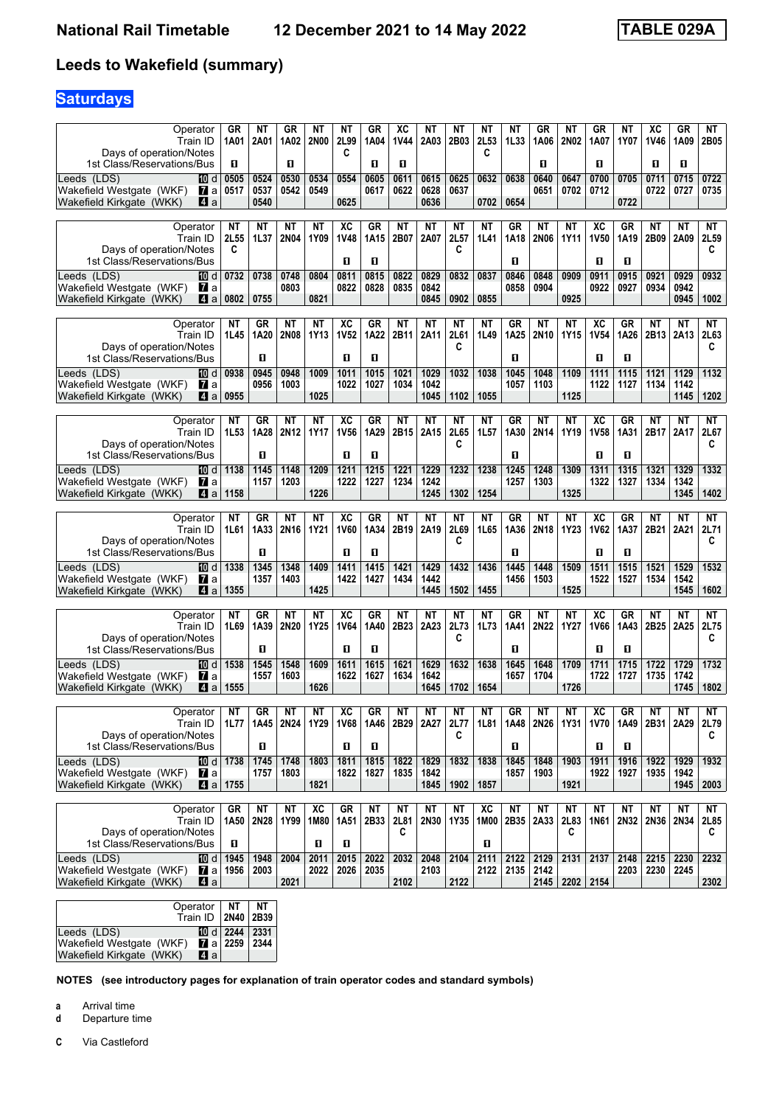#### **Leeds to Wakefield (summary)**

# **Saturdays**

| Operator<br>Train ID                                                       | GR<br>1A01            | NΤ<br>2A01        | GR<br>1A02               | NΤ<br>2N00        | NΤ<br>2L99               | GR<br>1A04        | XC<br><b>1V44</b> | ΝT<br>2A03   | NΤ<br>2B03 | ΝT<br>2L53 | ΝT<br>1L33   | GR<br>1A06             | NΤ<br>2N02        | GR<br>1A07             | NΤ<br>1Y07        | XC<br>1V46        | GR<br>1A09   | NΤ<br>2B05 |
|----------------------------------------------------------------------------|-----------------------|-------------------|--------------------------|-------------------|--------------------------|-------------------|-------------------|--------------|------------|------------|--------------|------------------------|-------------------|------------------------|-------------------|-------------------|--------------|------------|
| Days of operation/Notes<br>1st Class/Reservations/Bus                      | п                     |                   | $\mathbf{u}$             |                   | C                        | п                 | $\mathbf{u}$      |              |            | C          |              | $\mathbf{u}$           |                   | $\mathbf{u}$           |                   | п                 | $\mathbf{u}$ |            |
| Leeds (LDS)<br>10 d                                                        | 0505                  | 0524              | 0530                     | 0534              | 0554                     | 0605              | 0611              | 0615         | 0625       | 0632       | 0638         | 0640                   | 0647              | 0700                   | 0705              | 0711              | 0715         | 0722       |
| <b>7</b> a<br>Wakefield Westgate (WKF)<br>ZI a<br>Wakefield Kirkgate (WKK) | 0517                  | 0537<br>0540      | 0542                     | 0549              | 0625                     | 0617              | 0622              | 0628<br>0636 | 0637       | 0702       | 0654         | 0651                   | 0702              | 0712                   | 0722              | 0722              | 0727         | 0735       |
|                                                                            |                       |                   |                          |                   |                          |                   |                   |              |            |            |              |                        |                   |                        |                   |                   |              |            |
| Operator<br>Train ID                                                       | NΤ<br>2L55            | NΤ<br>1L37        | NΤ<br>2N04               | NΤ<br>1Y09        | XC<br>1V48               | <b>GR</b><br>1A15 | ΝT<br>2B07        | ΝT<br>2A07   | NΤ<br>2L57 | ΝT<br>1L41 | GR<br>1A18   | NΤ<br><b>2N06</b>      | NΤ<br>1Y11        | XC<br>1V50             | <b>GR</b><br>1A19 | <b>NT</b><br>2B09 | NΤ<br>2A09   | NΤ<br>2L59 |
| Days of operation/Notes<br>1st Class/Reservations/Bus                      | C                     |                   |                          |                   | п                        | п                 |                   |              | C          |            | п            |                        |                   | п                      | O                 |                   |              | C          |
| Leeds (LDS)<br>10 d                                                        | 0732                  | 0738              | 0748                     | 0804              | 0811                     | 0815              | 0822              | 0829         | 0832       | 0837       | 0846         | 0848                   | 0909              | 0911                   | 0915              | 0921              | 0929         | 0932       |
| <b>7</b> a<br>Wakefield Westgate (WKF)<br>Wakefield Kirkgate (WKK)<br>ZI a | 0802                  | 0755              | 0803                     | 0821              | 0822                     | 0828              | 0835              | 0842<br>0845 | 0902       | 0855       | 0858         | 0904                   | 0925              | 0922                   | 0927              | 0934              | 0942<br>0945 | 1002       |
|                                                                            |                       |                   |                          |                   |                          |                   |                   |              |            |            |              |                        |                   |                        |                   |                   |              |            |
| Operator<br>Train ID                                                       | NΤ<br>1L45            | <b>GR</b><br>1A20 | <b>NT</b><br><b>2N08</b> | <b>NT</b><br>1Y13 | <b>XC</b><br><b>1V52</b> | GR<br>1A22        | ΝT<br>2B11        | ΝT<br>2A11   | NΤ<br>2L61 | ΝT<br>1L49 | GR<br>1A25   | NΤ<br>2N <sub>10</sub> | <b>NT</b><br>1Y15 | XC<br><b>1V54</b>      | GR<br>1A26        | ΝT<br>2B13        | NΤ<br>2A13   | NΤ<br>2L63 |
| Days of operation/Notes<br>1st Class/Reservations/Bus                      |                       | O                 |                          |                   | п                        | п                 |                   |              | C          |            | п            |                        |                   | п                      | п                 |                   |              | C          |
| Leeds (LDS)<br>10 d                                                        | 0938                  | 0945              | 0948                     | 1009              | 1011                     | 1015              | 1021              | 1029         | 1032       | 1038       | 1045         | 1048                   | 1109              | 1111                   | 1115              | 1121              | 1129         | 1132       |
| <b>7</b> a<br>Wakefield Westgate (WKF)<br>4 a<br>Wakefield Kirkgate (WKK)  | 0955                  | 0956              | 1003                     | 1025              | 1022                     | 1027              | 1034              | 1042<br>1045 | 1102       | 1055       | 1057         | 1103                   | 1125              | 1122                   | 1127              | 1134              | 1142<br>1145 | 1202       |
|                                                                            |                       |                   |                          |                   |                          |                   |                   |              |            |            |              |                        |                   |                        |                   |                   |              |            |
| Operator                                                                   | ΝT                    | <b>GR</b>         | <b>NT</b>                | <b>NT</b>         | <b>XC</b>                | GR                | <b>NT</b>         | <b>NT</b>    | NΤ         | NΤ         | <b>GR</b>    | NΤ                     | <b>NT</b>         | <b>XC</b>              | GR                | <b>NT</b>         | <b>NT</b>    | <b>NT</b>  |
| Train ID<br>Days of operation/Notes                                        | 1L <sub>53</sub>      | 1A28              | 2N12                     | <b>1Y17</b>       | <b>1V56</b>              | 1A29              | 2B15              | 2A15         | 2L65<br>C  | 1L57       | 1A30         | 2N14                   | 1Y19              | <b>1V58</b>            | 1A31              | 2B17              | 2A17         | 2L67<br>C  |
| 1st Class/Reservations/Bus<br>Leeds (LDS)<br>10 d                          | 1138                  | O<br>1145         | 1148                     | 1209              | п<br>1211                | п<br>1215         | 1221              | 1229         | 1232       | 1238       | п<br>1245    | 1248                   | 1309              | п<br>1311              | п<br>1315         | 1321              | 1329         | 1332       |
| Wakefield Westgate (WKF)<br><b>7</b> ⊿a                                    |                       | 1157              | 1203                     |                   | 1222                     | 1227              | 1234              | 1242         |            |            | 1257         | 1303                   |                   | 1322                   | 1327              | 1334              | 1342         |            |
| 4a<br>Wakefield Kirkgate (WKK)                                             | 1158                  |                   |                          | 1226              |                          |                   |                   | 1245         | 1302       | 1254       |              |                        | 1325              |                        |                   |                   | 1345         | 1402       |
| Operator                                                                   | NΤ                    | <b>GR</b>         | NΤ                       | <b>NT</b>         | $\overline{xc}$          | <b>GR</b>         | <b>NT</b>         | ΝT           | NΤ         | NΤ         | GR           | NΤ                     | <b>NT</b>         | $\overline{X}C$        | GR                | <b>NT</b>         | NΤ           | NΤ         |
| Train ID                                                                   | 1L61                  | 1A33              | 2N <sub>16</sub>         | <b>1Y21</b>       | 1V60                     | 1A34              | 2B19              | 2A19         | 2L69       | 1L65       | 1A36         | 2N18                   | <b>1Y23</b>       | 1V62                   | 1A37              | 2B21              | 2A21         | 2L71       |
| Days of operation/Notes<br>1st Class/Reservations/Bus                      |                       | п                 |                          |                   | п                        | п                 |                   |              | C          |            | п            |                        |                   | $\mathbf{u}$           | п                 |                   |              | C          |
| Leeds (LDS)<br>10 d                                                        | 1338                  | 1345              | 1348                     | 1409              | 1411                     | 1415              | 1421              | 1429         | 1432       | 1436       | 1445         | 1448                   | 1509              | 1511                   | 1515              | 1521              | 1529         | 1532       |
| Wakefield Westgate (WKF)<br><b>7</b> a<br>4 a<br>Wakefield Kirkgate (WKK)  | 1355                  | 1357              | 1403                     | 1425              | 1422                     | 1427              | 1434              | 1442<br>1445 | 1502       | 1455       | 1456         | 1503                   | 1525              | 1522                   | 1527              | 1534              | 1542<br>1545 | 1602       |
|                                                                            |                       |                   |                          |                   |                          |                   |                   |              |            |            |              |                        |                   |                        |                   |                   |              |            |
| Operator                                                                   | NΤ                    | GR                | <b>NT</b>                | <b>NT</b>         | XC                       | <b>GR</b>         | <b>NT</b>         | ΝT           | NΤ         | ΝT         | GR           | NΤ                     | NT                | XC                     | <b>GR</b>         | <b>NT</b>         | <b>NT</b>    | NΤ         |
| Train ID                                                                   | 1L69                  | 1A39              | 2N20                     | 1Y25              | 1V64                     | 1A40              | 2B23              | 2A23         | 2L73       | 1L73       | 1A41         | 2N22                   | <b>1Y27</b>       | 1V66                   | 1A43              | 2B25              | 2A25         | 2L75       |
| Days of operation/Notes<br>1st Class/Reservations/Bus                      |                       | O                 |                          |                   | п                        | п                 |                   |              | C          |            | п            |                        |                   | п                      | O                 |                   |              | C          |
| Leeds (LDS)<br>10 d<br>$\mathbf{z}$ a<br>Wakefield Westgate (WKF)          | 1538                  | 1545<br>1557      | 1548<br>1603             | 1609              | 1611<br>1622             | 1615<br>1627      | 1621<br>1634      | 1629<br>1642 | 1632       | 1638       | 1645<br>1657 | 1648<br>1704           | 1709              | 1711<br>1722           | 1715<br>1727      | 1722<br>1735      | 1729<br>1742 | 1732       |
| Wakefield Kirkgate (WKK)<br>M a                                            | 1555                  |                   |                          | 1626              |                          |                   |                   | 1645         | 1702       | 1654       |              |                        | 1726              |                        |                   |                   | 1745         | 1802       |
|                                                                            |                       |                   |                          |                   |                          |                   |                   |              |            |            |              |                        |                   |                        |                   |                   |              |            |
| Operator                                                                   | NΤ                    | $G_{R}$           | ΝT                       | ΝT                | ХC                       | GR                | ΝT                | ΝT           | NΤ         | ΝT         | GR           | ΝT                     | ΝT                | $\overline{\text{xc}}$ | GR                | ΝT                | ΝT           | NΤ         |
| Train ID                                                                   | 1L77                  | 1A45              | 2N24                     | 1Y29              | <b>1V68</b>              | 1A46              | 2B29              | 2A27         | 2L77       | 1L81       | 1A48         | 2N26                   | 1Y31              | <b>1V70</b>            | 1A49              | 2B31              | 2A29         | 2L79       |
| Days of operation/Notes                                                    |                       |                   |                          |                   |                          |                   |                   |              | C          |            |              |                        |                   |                        |                   |                   |              | C          |
| 1st Class/Reservations/Bus                                                 |                       | п                 |                          |                   | $\mathbf{u}$             | п                 |                   |              |            |            | п            |                        |                   | $\mathbf{u}$           | п                 |                   |              |            |
| Leeds (LDS)<br>10 d                                                        | 1738                  | 1745              | 1748                     | 1803              | 1811                     | 1815              | 1822              | 1829         | 1832       | 1838       | 1845         | 1848                   | 1903              | 1911                   | 1916              | 1922              | 1929         | 1932       |
| Wakefield Westgate (WKF)<br><b>7</b> a                                     |                       | 1757              | 1803                     |                   | 1822                     | 1827              | 1835              | 1842         |            |            | 1857         | 1903                   |                   | 1922                   | 1927              | 1935              | 1942         |            |
| Wakefield Kirkgate (WKK)                                                   | $\blacksquare$ a 1755 |                   |                          | 1821              |                          |                   |                   | 1845         | 1902       | 1857       |              |                        | 1921              |                        |                   |                   | 1945         | 2003       |
| Operator                                                                   | GR                    | <b>NT</b>         | <b>NT</b>                | XC                | <b>GR</b>                | <b>NT</b>         | <b>NT</b>         | <b>NT</b>    | <b>NT</b>  | XC         | <b>NT</b>    | NΤ                     | <b>NT</b>         | $\overline{NT}$        | <b>NT</b>         | <b>NT</b>         | <b>NT</b>    | NT         |
| Train ID                                                                   | 1A50                  | 2N28              | 1Y99                     | 1M80              | 1A51                     | 2B33              | 2L81              | 2N30         | 1Y35       | 1M00       | 2B35         | 2A33                   | 2L83              | <b>1N61</b>            | 2N32              | 2N36              | 2N34         | 2L85       |
| Davs of operation/Notes                                                    |                       |                   |                          |                   |                          |                   | C                 |              |            |            |              |                        | C                 |                        |                   |                   |              | C          |
| 1st Class/Reservations/Bus                                                 | O                     |                   |                          | О                 | п                        |                   |                   |              |            | п          |              |                        |                   |                        |                   |                   |              |            |
| Leeds (LDS)<br>[10] d                                                      | 1945                  | 1948              | 2004                     | 2011              | 2015                     | 2022              | 2032              | 2048         | 2104       | 2111       | 2122         | 2129                   | 2131              | 2137                   | 2148              | 2215              | 2230         | 2232       |
| Wakefield Westgate (WKF)<br>$\mathbf{z}$ a                                 | 1956                  | 2003              |                          | 2022              | 2026                     | 2035              | 2102              | 2103         | 2122       | 2122       | 2135         | 2142                   | 2202              |                        | 2203              | 2230              | 2245         | 2302       |
| Wakefield Kirkgate (WKK)<br>l4l a                                          |                       |                   | 2021                     |                   |                          |                   |                   |              |            |            |              | 2145                   |                   | 2154                   |                   |                   |              |            |
| Operator                                                                   | ΝT                    | <b>NT</b>         |                          |                   |                          |                   |                   |              |            |            |              |                        |                   |                        |                   |                   |              |            |

|                          | ODE TRILI |                            | NI<br>Train ID   2N40   2B39 |
|--------------------------|-----------|----------------------------|------------------------------|
| Leeds (LDS)              |           | $\text{m}$ d   2244   2331 |                              |
| Wakefield Westgate (WKF) |           |                            | <b>7</b> a 2259 2344         |
| Wakefield Kirkgate (WKK) | ZI a      |                            |                              |

**NOTES (see introductory pages for explanation of train operator codes and standard symbols)**

**a** Arrival time<br>**d** Departure t

**d** Departure time